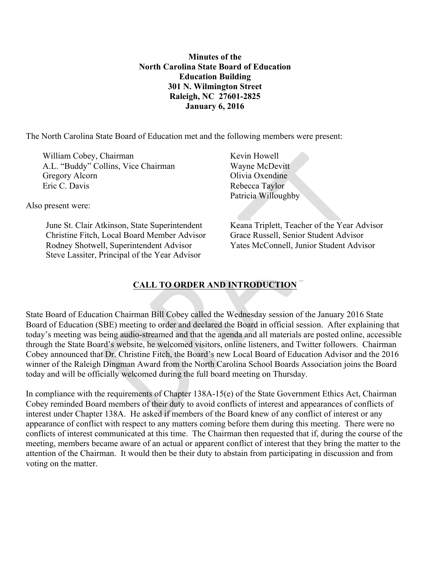**Minutes of the North Carolina State Board of Education Education Building 301 N. Wilmington Street Raleigh, NC 27601-2825 January 6, 2016** 

The North Carolina State Board of Education met and the following members were present:

William Cobey, Chairman Kevin Howell A.L. "Buddy" Collins, Vice Chairman Wayne McDevitt" Gregory Alcorn Olivia Oxendine Eric C. Davis Rebecca Taylor

Also present were:

June St. Clair Atkinson, State Superintendent Keana Triplett, Teacher of the Year Advisor Christine Fitch, Local Board Member Advisor Grace Russell, Senior Student Advisor Rodney Shotwell, Superintendent Advisor Yates McConnell, Junior Student Advisor Steve Lassiter, Principal of the Year Advisor

Patricia Willoughby

# **CALL TO ORDER AND INTRODUCTION**

State Board of Education Chairman Bill Cobey called the Wednesday session of the January 2016 State Board of Education (SBE) meeting to order and declared the Board in official session. After explaining that today's meeting was being audio-streamed and that the agenda and all materials are posted online, accessible through the State Board's website, he welcomed visitors, online listeners, and Twitter followers. Chairman Cobey announced that Dr. Christine Fitch, the Board's new Local Board of Education Advisor and the 2016 winner of the Raleigh Dingman Award from the North Carolina School Boards Association joins the Board today and will be officially welcomed during the full board meeting on Thursday.

In compliance with the requirements of Chapter 138A-15(e) of the State Government Ethics Act, Chairman Cobey reminded Board members of their duty to avoid conflicts of interest and appearances of conflicts of interest under Chapter 138A. He asked if members of the Board knew of any conflict of interest or any appearance of conflict with respect to any matters coming before them during this meeting. There were no conflicts of interest communicated at this time. The Chairman then requested that if, during the course of the meeting, members became aware of an actual or apparent conflict of interest that they bring the matter to the attention of the Chairman. It would then be their duty to abstain from participating in discussion and from voting on the matter.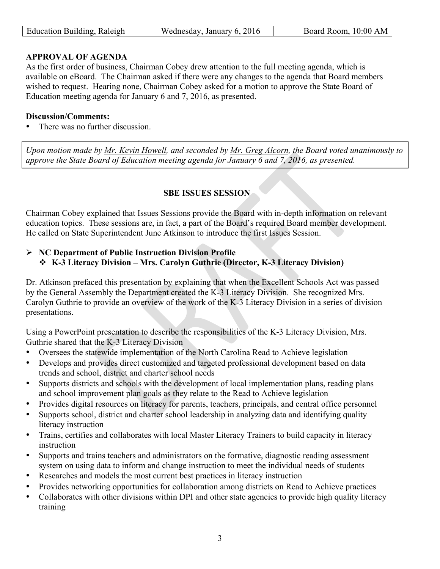| Education Building, Raleigh | 2016<br>January 6.<br>ednesday<br>$\mathbf{M}$ | 10:00 AM<br>Room.<br>soard |
|-----------------------------|------------------------------------------------|----------------------------|
|                             |                                                |                            |

## **APPROVAL OF AGENDA**

As the first order of business, Chairman Cobey drew attention to the full meeting agenda, which is available on eBoard. The Chairman asked if there were any changes to the agenda that Board members wished to request. Hearing none, Chairman Cobey asked for a motion to approve the State Board of Education meeting agenda for January 6 and 7, 2016, as presented.

#### **Discussion/Comments:**

• There was no further discussion.

*Upon motion made by Mr. Kevin Howell, and seconded by Mr. Greg Alcorn, the Board voted unanimously to approve the State Board of Education meeting agenda for January 6 and 7, 2016, as presented.* 

## **SBE ISSUES SESSION**

Chairman Cobey explained that Issues Sessions provide the Board with in-depth information on relevant education topics. These sessions are, in fact, a part of the Board's required Board member development. He called on State Superintendent June Atkinson to introduce the first Issues Session.

## Ø **NC Department of Public Instruction Division Profile**  v **K-3 Literacy Division – Mrs. Carolyn Guthrie (Director, K-3 Literacy Division)**

Dr. Atkinson prefaced this presentation by explaining that when the Excellent Schools Act was passed by the General Assembly the Department created the K-3 Literacy Division. She recognized Mrs. Carolyn Guthrie to provide an overview of the work of the K-3 Literacy Division in a series of division presentations.

Using a PowerPoint presentation to describe the responsibilities of the K-3 Literacy Division, Mrs. Guthrie shared that the K-3 Literacy Division

- Oversees the statewide implementation of the North Carolina Read to Achieve legislation
- Develops and provides direct customized and targeted professional development based on data trends and school, district and charter school needs
- Supports districts and schools with the development of local implementation plans, reading plans and school improvement plan goals as they relate to the Read to Achieve legislation
- Provides digital resources on literacy for parents, teachers, principals, and central office personnel
- Supports school, district and charter school leadership in analyzing data and identifying quality literacy instruction
- Trains, certifies and collaborates with local Master Literacy Trainers to build capacity in literacy instruction
- Supports and trains teachers and administrators on the formative, diagnostic reading assessment system on using data to inform and change instruction to meet the individual needs of students
- Researches and models the most current best practices in literacy instruction
- Provides networking opportunities for collaboration among districts on Read to Achieve practices
- Collaborates with other divisions within DPI and other state agencies to provide high quality literacy training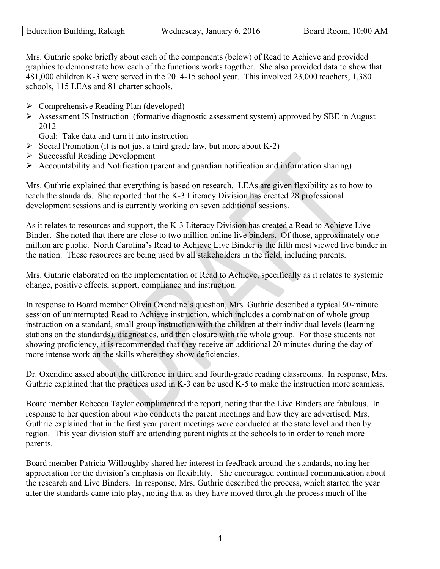| Education Building, Raleigh | Wednesday, January 6, 2016 | Board Room, 10:00 AM |
|-----------------------------|----------------------------|----------------------|
|                             |                            |                      |

Mrs. Guthrie spoke briefly about each of the components (below) of Read to Achieve and provided graphics to demonstrate how each of the functions works together. She also provided data to show that 481,000 children K-3 were served in the 2014-15 school year. This involved 23,000 teachers, 1,380 schools, 115 LEAs and 81 charter schools.

- $\triangleright$  Comprehensive Reading Plan (developed)
- Ø Assessment IS Instruction (formative diagnostic assessment system) approved by SBE in August 2012

Goal: Take data and turn it into instruction

- $\triangleright$  Social Promotion (it is not just a third grade law, but more about K-2)
- $\triangleright$  Successful Reading Development
- $\triangleright$  Accountability and Notification (parent and guardian notification and information sharing)

Mrs. Guthrie explained that everything is based on research. LEAs are given flexibility as to how to teach the standards. She reported that the K-3 Literacy Division has created 28 professional development sessions and is currently working on seven additional sessions.

As it relates to resources and support, the K-3 Literacy Division has created a Read to Achieve Live Binder. She noted that there are close to two million online live binders. Of those, approximately one million are public. North Carolina's Read to Achieve Live Binder is the fifth most viewed live binder in the nation. These resources are being used by all stakeholders in the field, including parents.

Mrs. Guthrie elaborated on the implementation of Read to Achieve, specifically as it relates to systemic change, positive effects, support, compliance and instruction.

In response to Board member Olivia Oxendine's question, Mrs. Guthrie described a typical 90-minute session of uninterrupted Read to Achieve instruction, which includes a combination of whole group instruction on a standard, small group instruction with the children at their individual levels (learning stations on the standards), diagnostics, and then closure with the whole group. For those students not showing proficiency, it is recommended that they receive an additional 20 minutes during the day of more intense work on the skills where they show deficiencies.

Dr. Oxendine asked about the difference in third and fourth-grade reading classrooms. In response, Mrs. Guthrie explained that the practices used in K-3 can be used K-5 to make the instruction more seamless.

Board member Rebecca Taylor complimented the report, noting that the Live Binders are fabulous. In response to her question about who conducts the parent meetings and how they are advertised, Mrs. Guthrie explained that in the first year parent meetings were conducted at the state level and then by region. This year division staff are attending parent nights at the schools to in order to reach more parents.

Board member Patricia Willoughby shared her interest in feedback around the standards, noting her appreciation for the division's emphasis on flexibility. She encouraged continual communication about the research and Live Binders. In response, Mrs. Guthrie described the process, which started the year after the standards came into play, noting that as they have moved through the process much of the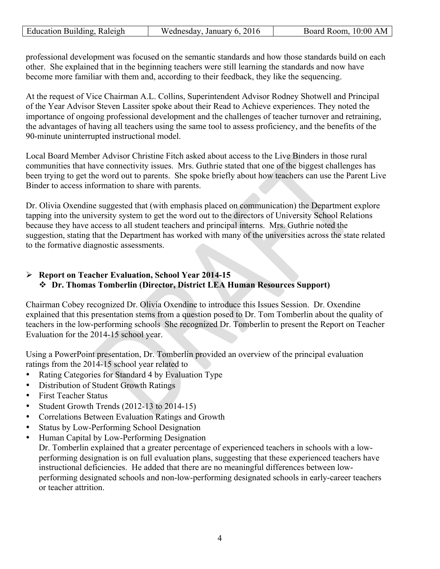| Education Building, Raleigh | Wednesday, January 6, 2016 | Board Room, 10:00 AM |
|-----------------------------|----------------------------|----------------------|
|                             |                            |                      |

professional development was focused on the semantic standards and how those standards build on each other. She explained that in the beginning teachers were still learning the standards and now have become more familiar with them and, according to their feedback, they like the sequencing.

At the request of Vice Chairman A.L. Collins, Superintendent Advisor Rodney Shotwell and Principal of the Year Advisor Steven Lassiter spoke about their Read to Achieve experiences. They noted the importance of ongoing professional development and the challenges of teacher turnover and retraining, the advantages of having all teachers using the same tool to assess proficiency, and the benefits of the 90-minute uninterrupted instructional model.

Local Board Member Advisor Christine Fitch asked about access to the Live Binders in those rural communities that have connectivity issues. Mrs. Guthrie stated that one of the biggest challenges has been trying to get the word out to parents. She spoke briefly about how teachers can use the Parent Live Binder to access information to share with parents.

Dr. Olivia Oxendine suggested that (with emphasis placed on communication) the Department explore tapping into the university system to get the word out to the directors of University School Relations because they have access to all student teachers and principal interns. Mrs. Guthrie noted the suggestion, stating that the Department has worked with many of the universities across the state related to the formative diagnostic assessments.

## Ø **Report on Teacher Evaluation, School Year 2014-15**  v **Dr. Thomas Tomberlin (Director, District LEA Human Resources Support)**

Chairman Cobey recognized Dr. Olivia Oxendine to introduce this Issues Session. Dr. Oxendine explained that this presentation stems from a question posed to Dr. Tom Tomberlin about the quality of teachers in the low-performing schools She recognized Dr. Tomberlin to present the Report on Teacher Evaluation for the 2014-15 school year.

Using a PowerPoint presentation, Dr. Tomberlin provided an overview of the principal evaluation ratings from the 2014-15 school year related to

- Rating Categories for Standard 4 by Evaluation Type
- Distribution of Student Growth Ratings
- First Teacher Status
- Student Growth Trends (2012-13 to 2014-15)
- Correlations Between Evaluation Ratings and Growth
- Status by Low-Performing School Designation
- Human Capital by Low-Performing Designation Dr. Tomberlin explained that a greater percentage of experienced teachers in schools with a lowperforming designation is on full evaluation plans, suggesting that these experienced teachers have instructional deficiencies. He added that there are no meaningful differences between lowperforming designated schools and non-low-performing designated schools in early-career teachers or teacher attrition.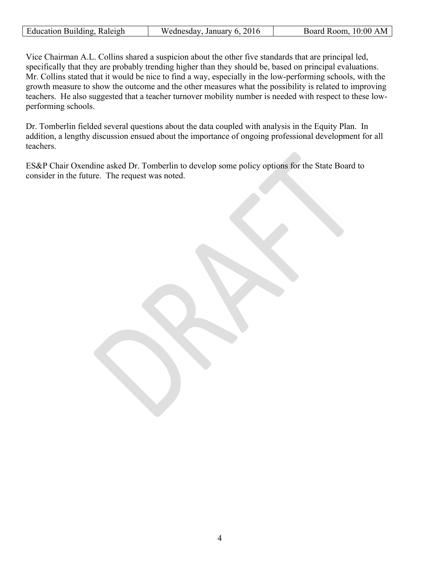| Education Building, Raleigh | Wednesday, January 6, 2016 | Board Room, 10:00 AM |
|-----------------------------|----------------------------|----------------------|
|                             |                            |                      |

Vice Chairman A.L. Collins shared a suspicion about the other five standards that are principal led, specifically that they are probably trending higher than they should be, based on principal evaluations. Mr. Collins stated that it would be nice to find a way, especially in the low-performing schools, with the growth measure to show the outcome and the other measures what the possibility is related to improving teachers. He also suggested that a teacher turnover mobility number is needed with respect to these lowperforming schools.

Dr. Tomberlin fielded several questions about the data coupled with analysis in the Equity Plan. In addition, a lengthy discussion ensued about the importance of ongoing professional development for all teachers.

ES&P Chair Oxendine asked Dr. Tomberlin to develop some policy options for the State Board to consider in the future. The request was noted.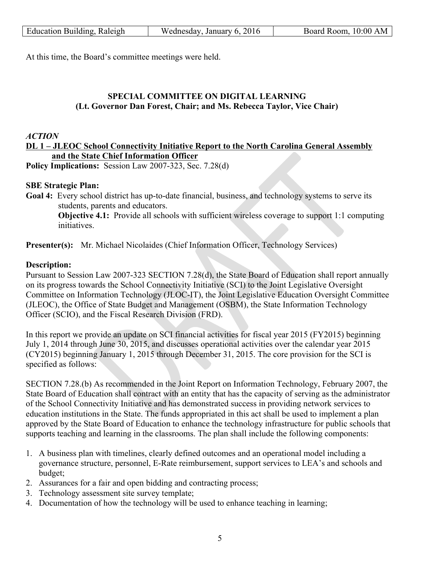| Education Building, Raleigh | Wednesday, January 6, 2016 | Board Room, 10:00 AM |
|-----------------------------|----------------------------|----------------------|
|                             |                            |                      |

At this time, the Board's committee meetings were held.

## **SPECIAL COMMITTEE ON DIGITAL LEARNING (Lt. Governor Dan Forest, Chair; and Ms. Rebecca Taylor, Vice Chair)**

#### *ACTION*

## **DL 1 – JLEOC School Connectivity Initiative Report to the North Carolina General Assembly and the State Chief Information Officer**

**Policy Implications:** Session Law 2007-323, Sec. 7.28(d)

#### **SBE Strategic Plan:**

**Goal 4:** Every school district has up-to-date financial, business, and technology systems to serve its students, parents and educators.

**Objective 4.1:** Provide all schools with sufficient wireless coverage to support 1:1 computing initiatives.

**Presenter(s):** Mr. Michael Nicolaides (Chief Information Officer, Technology Services)

## **Description:**

Pursuant to Session Law 2007-323 SECTION 7.28(d), the State Board of Education shall report annually on its progress towards the School Connectivity Initiative (SCI) to the Joint Legislative Oversight Committee on Information Technology (JLOC-IT), the Joint Legislative Education Oversight Committee (JLEOC), the Office of State Budget and Management (OSBM), the State Information Technology Officer (SCIO), and the Fiscal Research Division (FRD).

In this report we provide an update on SCI financial activities for fiscal year 2015 (FY2015) beginning July 1, 2014 through June 30, 2015, and discusses operational activities over the calendar year 2015 (CY2015) beginning January 1, 2015 through December 31, 2015. The core provision for the SCI is specified as follows:

SECTION 7.28.(b) As recommended in the Joint Report on Information Technology, February 2007, the State Board of Education shall contract with an entity that has the capacity of serving as the administrator of the School Connectivity Initiative and has demonstrated success in providing network services to education institutions in the State. The funds appropriated in this act shall be used to implement a plan approved by the State Board of Education to enhance the technology infrastructure for public schools that supports teaching and learning in the classrooms. The plan shall include the following components:

- 1. A business plan with timelines, clearly defined outcomes and an operational model including a governance structure, personnel, E-Rate reimbursement, support services to LEA's and schools and budget;
- 2. Assurances for a fair and open bidding and contracting process;
- 3. Technology assessment site survey template;
- 4. Documentation of how the technology will be used to enhance teaching in learning;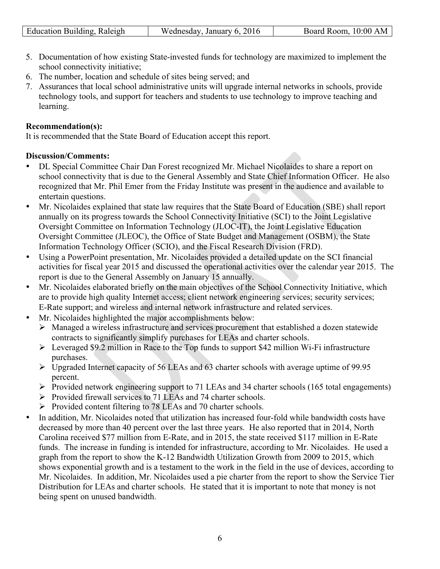| Education Building, Raleigh | Wednesday, January 6, 2016 | Board Room, 10:00 AM |
|-----------------------------|----------------------------|----------------------|

- 5. Documentation of how existing State-invested funds for technology are maximized to implement the school connectivity initiative;
- 6. The number, location and schedule of sites being served; and
- 7. Assurances that local school administrative units will upgrade internal networks in schools, provide technology tools, and support for teachers and students to use technology to improve teaching and learning.

## **Recommendation(s):**

It is recommended that the State Board of Education accept this report.

## **Discussion/Comments:**

- DL Special Committee Chair Dan Forest recognized Mr. Michael Nicolaides to share a report on school connectivity that is due to the General Assembly and State Chief Information Officer. He also recognized that Mr. Phil Emer from the Friday Institute was present in the audience and available to entertain questions.
- Mr. Nicolaides explained that state law requires that the State Board of Education (SBE) shall report annually on its progress towards the School Connectivity Initiative (SCI) to the Joint Legislative Oversight Committee on Information Technology (JLOC-IT), the Joint Legislative Education Oversight Committee (JLEOC), the Office of State Budget and Management (OSBM), the State Information Technology Officer (SCIO), and the Fiscal Research Division (FRD).
- Using a PowerPoint presentation, Mr. Nicolaides provided a detailed update on the SCI financial activities for fiscal year 2015 and discussed the operational activities over the calendar year 2015. The report is due to the General Assembly on January 15 annually.
- Mr. Nicolaides elaborated briefly on the main objectives of the School Connectivity Initiative, which are to provide high quality Internet access; client network engineering services; security services; E-Rate support; and wireless and internal network infrastructure and related services.
- Mr. Nicolaides highlighted the major accomplishments below:
	- Ø Managed a wireless infrastructure and services procurement that established a dozen statewide contracts to significantly simplify purchases for LEAs and charter schools.
	- $\triangleright$  Leveraged \$9.2 million in Race to the Top funds to support \$42 million Wi-Fi infrastructure purchases.
	- Ø Upgraded Internet capacity of 56 LEAs and 63 charter schools with average uptime of 99.95 percent.
	- Ø Provided network engineering support to 71 LEAs and 34 charter schools (165 total engagements)
	- $\triangleright$  Provided firewall services to 71 LEAs and 74 charter schools.
	- Ø Provided content filtering to 78 LEAs and 70 charter schools.
- In addition, Mr. Nicolaides noted that utilization has increased four-fold while bandwidth costs have decreased by more than 40 percent over the last three years. He also reported that in 2014, North Carolina received \$77 million from E-Rate, and in 2015, the state received \$117 million in E-Rate funds. The increase in funding is intended for infrastructure, according to Mr. Nicolaides. He used a graph from the report to show the K-12 Bandwidth Utilization Growth from 2009 to 2015, which shows exponential growth and is a testament to the work in the field in the use of devices, according to Mr. Nicolaides. In addition, Mr. Nicolaides used a pie charter from the report to show the Service Tier Distribution for LEAs and charter schools. He stated that it is important to note that money is not being spent on unused bandwidth.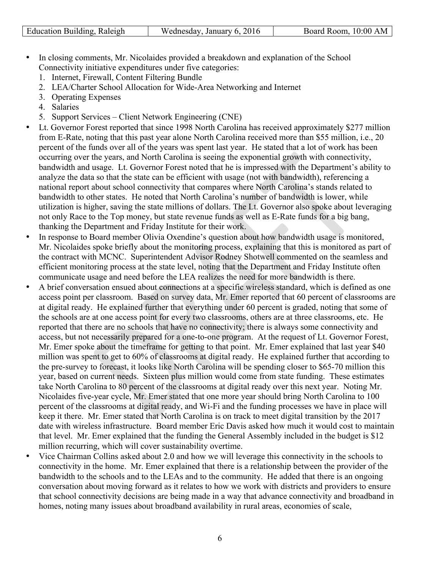| Education Building, Raleigh | Wednesday, January 6, 2016 | Board Room, 10:00 AM |
|-----------------------------|----------------------------|----------------------|

- In closing comments, Mr. Nicolaides provided a breakdown and explanation of the School Connectivity initiative expenditures under five categories:
	- 1. Internet, Firewall, Content Filtering Bundle
	- 2. LEA/Charter School Allocation for Wide-Area Networking and Internet
	- 3. Operating Expenses
	- 4. Salaries
	- 5. Support Services Client Network Engineering (CNE)
- Lt. Governor Forest reported that since 1998 North Carolina has received approximately \$277 million from E-Rate, noting that this past year alone North Carolina received more than \$55 million, i.e., 20 percent of the funds over all of the years was spent last year. He stated that a lot of work has been occurring over the years, and North Carolina is seeing the exponential growth with connectivity, bandwidth and usage. Lt. Governor Forest noted that he is impressed with the Department's ability to analyze the data so that the state can be efficient with usage (not with bandwidth), referencing a national report about school connectivity that compares where North Carolina's stands related to bandwidth to other states. He noted that North Carolina's number of bandwidth is lower, while utilization is higher, saving the state millions of dollars. The Lt. Governor also spoke about leveraging not only Race to the Top money, but state revenue funds as well as E-Rate funds for a big bang, thanking the Department and Friday Institute for their work.
- In response to Board member Olivia Oxendine's question about how bandwidth usage is monitored, Mr. Nicolaides spoke briefly about the monitoring process, explaining that this is monitored as part of the contract with MCNC. Superintendent Advisor Rodney Shotwell commented on the seamless and efficient monitoring process at the state level, noting that the Department and Friday Institute often communicate usage and need before the LEA realizes the need for more bandwidth is there.
- A brief conversation ensued about connections at a specific wireless standard, which is defined as one access point per classroom. Based on survey data, Mr. Emer reported that 60 percent of classrooms are at digital ready. He explained further that everything under 60 percent is graded, noting that some of the schools are at one access point for every two classrooms, others are at three classrooms, etc. He reported that there are no schools that have no connectivity; there is always some connectivity and access, but not necessarily prepared for a one-to-one program. At the request of Lt. Governor Forest, Mr. Emer spoke about the timeframe for getting to that point. Mr. Emer explained that last year \$40 million was spent to get to 60% of classrooms at digital ready. He explained further that according to the pre-survey to forecast, it looks like North Carolina will be spending closer to \$65-70 million this year, based on current needs. Sixteen plus million would come from state funding. These estimates take North Carolina to 80 percent of the classrooms at digital ready over this next year. Noting Mr. Nicolaides five-year cycle, Mr. Emer stated that one more year should bring North Carolina to 100 percent of the classrooms at digital ready, and Wi-Fi and the funding processes we have in place will keep it there. Mr. Emer stated that North Carolina is on track to meet digital transition by the 2017 date with wireless infrastructure. Board member Eric Davis asked how much it would cost to maintain that level. Mr. Emer explained that the funding the General Assembly included in the budget is \$12 million recurring, which will cover sustainability overtime.
- Vice Chairman Collins asked about 2.0 and how we will leverage this connectivity in the schools to connectivity in the home. Mr. Emer explained that there is a relationship between the provider of the bandwidth to the schools and to the LEAs and to the community. He added that there is an ongoing conversation about moving forward as it relates to how we work with districts and providers to ensure that school connectivity decisions are being made in a way that advance connectivity and broadband in homes, noting many issues about broadband availability in rural areas, economies of scale,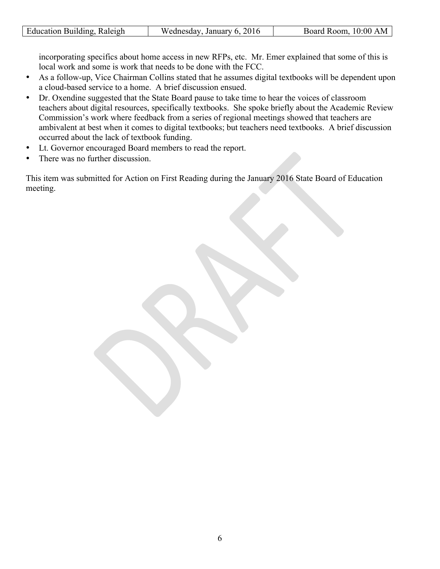| Education Building, Raleigh | Wednesday, January 6, 2016 | Board Room, 10:00 AM |
|-----------------------------|----------------------------|----------------------|
|                             |                            |                      |

incorporating specifics about home access in new RFPs, etc. Mr. Emer explained that some of this is local work and some is work that needs to be done with the FCC.

- As a follow-up, Vice Chairman Collins stated that he assumes digital textbooks will be dependent upon a cloud-based service to a home. A brief discussion ensued.
- Dr. Oxendine suggested that the State Board pause to take time to hear the voices of classroom teachers about digital resources, specifically textbooks. She spoke briefly about the Academic Review Commission's work where feedback from a series of regional meetings showed that teachers are ambivalent at best when it comes to digital textbooks; but teachers need textbooks. A brief discussion occurred about the lack of textbook funding.
- Lt. Governor encouraged Board members to read the report.
- There was no further discussion.

This item was submitted for Action on First Reading during the January 2016 State Board of Education meeting.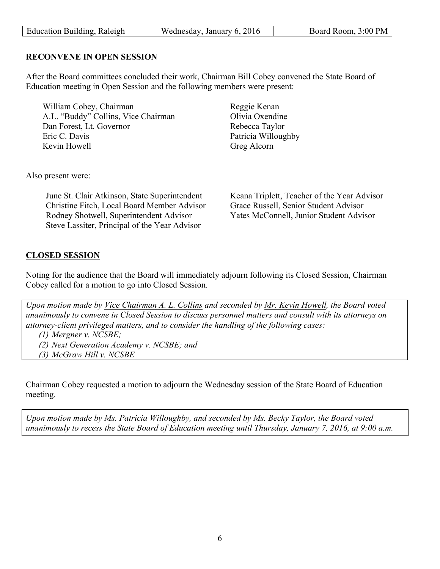| Education Building, Raleigh | Wednesday, January 6, 2016 | Board Room, 3:00 PM |
|-----------------------------|----------------------------|---------------------|
|                             |                            |                     |

#### **RECONVENE IN OPEN SESSION**

After the Board committees concluded their work, Chairman Bill Cobey convened the State Board of Education meeting in Open Session and the following members were present:

William Cobey, Chairman Reggie Kenan<br>
A.L. "Buddy" Collins. Vice Chairman Dlivia Oxendine A.L. "Buddy" Collins, Vice Chairman Dan Forest, Lt. Governor Rebecca Taylor Eric C. Davis Patricia Willoughby Kevin Howell Greg Alcorn

Also present were:

June St. Clair Atkinson, State Superintendent Keana Triplett, Teacher of the Year Advisor Christine Fitch, Local Board Member Advisor Grace Russell, Senior Student Advisor Rodney Shotwell, Superintendent Advisor Yates McConnell, Junior Student Advisor Steve Lassiter, Principal of the Year Advisor

## **CLOSED SESSION**

Noting for the audience that the Board will immediately adjourn following its Closed Session, Chairman Cobey called for a motion to go into Closed Session.

*Upon motion made by Vice Chairman A. L. Collins and seconded by Mr. Kevin Howell, the Board voted unanimously to convene in Closed Session to discuss personnel matters and consult with its attorneys on attorney-client privileged matters, and to consider the handling of the following cases:* 

*(1) Mergner v. NCSBE;* 

*(2) Next Generation Academy v. NCSBE; and* 

*(3) McGraw Hill v. NCSBE* 

Chairman Cobey requested a motion to adjourn the Wednesday session of the State Board of Education meeting.

*Upon motion made by Ms. Patricia Willoughby, and seconded by Ms. Becky Taylor, the Board voted unanimously to recess the State Board of Education meeting until Thursday, January 7, 2016, at 9:00 a.m.*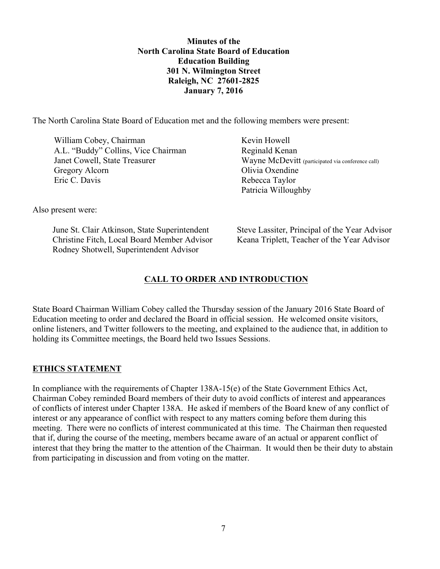**Minutes of the North Carolina State Board of Education Education Building 301 N. Wilmington Street Raleigh, NC 27601-2825 January 7, 2016** 

The North Carolina State Board of Education met and the following members were present:

William Cobey, Chairman Kevin Howell A.L. "Buddy" Collins, Vice Chairman Reginald Kenan Gregory Alcorn Olivia Oxendine Eric C. Davis Rebecca Taylor

Janet Cowell, State Treasurer Wayne McDevitt (participated via conference call) Patricia Willoughby

Also present were:

Christine Fitch, Local Board Member Advisor Keana Triplett, Teacher of the Year Advisor Rodney Shotwell, Superintendent Advisor

June St. Clair Atkinson, State Superintendent Steve Lassiter, Principal of the Year Advisor

## **CALL TO ORDER AND INTRODUCTION**

State Board Chairman William Cobey called the Thursday session of the January 2016 State Board of Education meeting to order and declared the Board in official session. He welcomed onsite visitors, online listeners, and Twitter followers to the meeting, and explained to the audience that, in addition to holding its Committee meetings, the Board held two Issues Sessions.

## **ETHICS STATEMENT**

In compliance with the requirements of Chapter 138A-15(e) of the State Government Ethics Act, Chairman Cobey reminded Board members of their duty to avoid conflicts of interest and appearances of conflicts of interest under Chapter 138A. He asked if members of the Board knew of any conflict of interest or any appearance of conflict with respect to any matters coming before them during this meeting. There were no conflicts of interest communicated at this time. The Chairman then requested that if, during the course of the meeting, members became aware of an actual or apparent conflict of interest that they bring the matter to the attention of the Chairman. It would then be their duty to abstain from participating in discussion and from voting on the matter.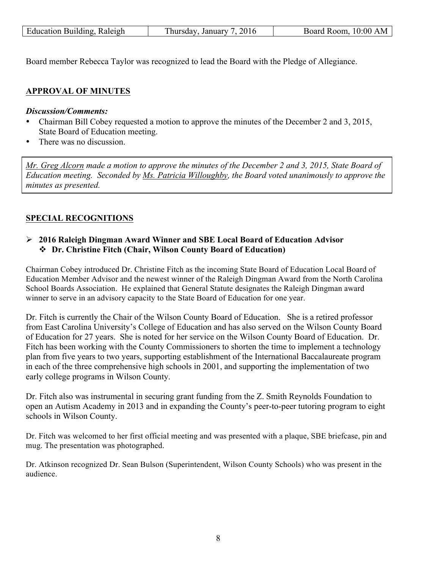| Education Building, Raleigh | Thursday, January 7, 2016 | Board Room, 10:00 AM |
|-----------------------------|---------------------------|----------------------|
|                             |                           |                      |

Board member Rebecca Taylor was recognized to lead the Board with the Pledge of Allegiance.

## **APPROVAL OF MINUTES**

#### *Discussion/Comments:*

- Chairman Bill Cobey requested a motion to approve the minutes of the December 2 and 3, 2015, State Board of Education meeting.
- There was no discussion.

*Mr. Greg Alcorn made a motion to approve the minutes of the December 2 and 3, 2015, State Board of Education meeting. Seconded by Ms. Patricia Willoughby, the Board voted unanimously to approve the minutes as presented.*

## **SPECIAL RECOGNITIONS**

## Ø **2016 Raleigh Dingman Award Winner and SBE Local Board of Education Advisor**  v **Dr. Christine Fitch (Chair, Wilson County Board of Education)**

Chairman Cobey introduced Dr. Christine Fitch as the incoming State Board of Education Local Board of Education Member Advisor and the newest winner of the Raleigh Dingman Award from the North Carolina School Boards Association. He explained that General Statute designates the Raleigh Dingman award winner to serve in an advisory capacity to the State Board of Education for one year.

Dr. Fitch is currently the Chair of the Wilson County Board of Education. She is a retired professor from East Carolina University's College of Education and has also served on the Wilson County Board of Education for 27 years. She is noted for her service on the Wilson County Board of Education. Dr. Fitch has been working with the County Commissioners to shorten the time to implement a technology plan from five years to two years, supporting establishment of the International Baccalaureate program in each of the three comprehensive high schools in 2001, and supporting the implementation of two early college programs in Wilson County.

Dr. Fitch also was instrumental in securing grant funding from the Z. Smith Reynolds Foundation to open an Autism Academy in 2013 and in expanding the County's peer-to-peer tutoring program to eight schools in Wilson County.

Dr. Fitch was welcomed to her first official meeting and was presented with a plaque, SBE briefcase, pin and mug. The presentation was photographed.

Dr. Atkinson recognized Dr. Sean Bulson (Superintendent, Wilson County Schools) who was present in the audience.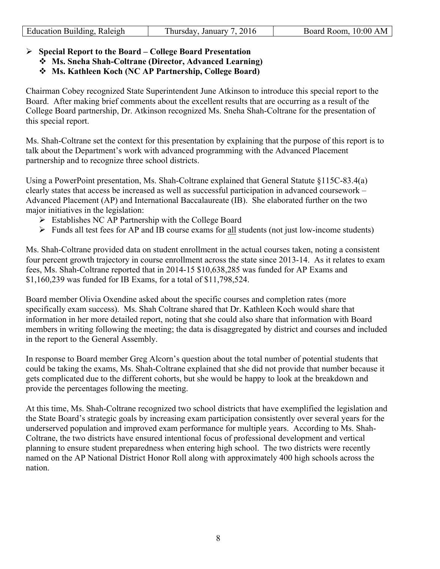| Education Building, Raleigh | Thursday, January 7, 2016 | Board Room, 10:00 AM |
|-----------------------------|---------------------------|----------------------|
|                             |                           |                      |

## Ø **Special Report to the Board – College Board Presentation**

- v **Ms. Sneha Shah-Coltrane (Director, Advanced Learning)**
- v **Ms. Kathleen Koch (NC AP Partnership, College Board)**

Chairman Cobey recognized State Superintendent June Atkinson to introduce this special report to the Board. After making brief comments about the excellent results that are occurring as a result of the College Board partnership, Dr. Atkinson recognized Ms. Sneha Shah-Coltrane for the presentation of this special report.

Ms. Shah-Coltrane set the context for this presentation by explaining that the purpose of this report is to talk about the Department's work with advanced programming with the Advanced Placement partnership and to recognize three school districts.

Using a PowerPoint presentation, Ms. Shah-Coltrane explained that General Statute §115C-83.4(a) clearly states that access be increased as well as successful participation in advanced coursework – Advanced Placement (AP) and International Baccalaureate (IB). She elaborated further on the two major initiatives in the legislation:

- $\triangleright$  Establishes NC AP Partnership with the College Board
- $\triangleright$  Funds all test fees for AP and IB course exams for all students (not just low-income students)

Ms. Shah-Coltrane provided data on student enrollment in the actual courses taken, noting a consistent four percent growth trajectory in course enrollment across the state since 2013-14. As it relates to exam fees, Ms. Shah-Coltrane reported that in 2014-15 \$10,638,285 was funded for AP Exams and \$1,160,239 was funded for IB Exams, for a total of \$11,798,524.

Board member Olivia Oxendine asked about the specific courses and completion rates (more specifically exam success). Ms. Shah Coltrane shared that Dr. Kathleen Koch would share that information in her more detailed report, noting that she could also share that information with Board members in writing following the meeting; the data is disaggregated by district and courses and included in the report to the General Assembly.

In response to Board member Greg Alcorn's question about the total number of potential students that could be taking the exams, Ms. Shah-Coltrane explained that she did not provide that number because it gets complicated due to the different cohorts, but she would be happy to look at the breakdown and provide the percentages following the meeting.

At this time, Ms. Shah-Coltrane recognized two school districts that have exemplified the legislation and the State Board's strategic goals by increasing exam participation consistently over several years for the underserved population and improved exam performance for multiple years. According to Ms. Shah-Coltrane, the two districts have ensured intentional focus of professional development and vertical planning to ensure student preparedness when entering high school. The two districts were recently named on the AP National District Honor Roll along with approximately 400 high schools across the nation.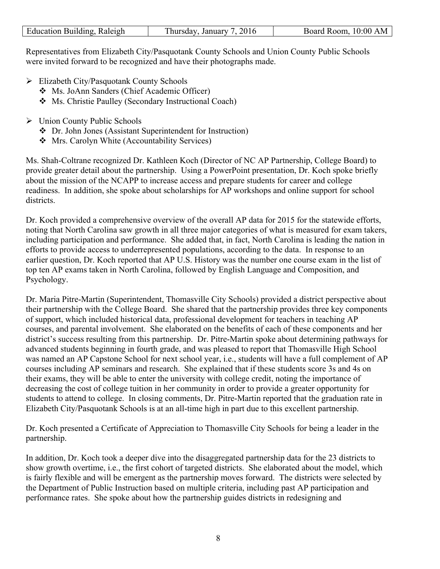| Education Building, Raleigh | 2016<br>January 1<br>hursday. | $10:00$ AM<br>Board Room. |
|-----------------------------|-------------------------------|---------------------------|

Representatives from Elizabeth City/Pasquotank County Schools and Union County Public Schools were invited forward to be recognized and have their photographs made.

- $\triangleright$  Elizabeth City/Pasquotank County Schools
	- v Ms. JoAnn Sanders (Chief Academic Officer)
	- \* Ms. Christie Paulley (Secondary Instructional Coach)
- Ø Union County Public Schools
	- v Dr. John Jones (Assistant Superintendent for Instruction)
	- v Mrs. Carolyn White (Accountability Services)

Ms. Shah-Coltrane recognized Dr. Kathleen Koch (Director of NC AP Partnership, College Board) to provide greater detail about the partnership. Using a PowerPoint presentation, Dr. Koch spoke briefly about the mission of the NCAPP to increase access and prepare students for career and college readiness. In addition, she spoke about scholarships for AP workshops and online support for school districts.

Dr. Koch provided a comprehensive overview of the overall AP data for 2015 for the statewide efforts, noting that North Carolina saw growth in all three major categories of what is measured for exam takers, including participation and performance. She added that, in fact, North Carolina is leading the nation in efforts to provide access to underrepresented populations, according to the data. In response to an earlier question, Dr. Koch reported that AP U.S. History was the number one course exam in the list of top ten AP exams taken in North Carolina, followed by English Language and Composition, and Psychology.

Dr. Maria Pitre-Martin (Superintendent, Thomasville City Schools) provided a district perspective about their partnership with the College Board. She shared that the partnership provides three key components of support, which included historical data, professional development for teachers in teaching AP courses, and parental involvement. She elaborated on the benefits of each of these components and her district's success resulting from this partnership. Dr. Pitre-Martin spoke about determining pathways for advanced students beginning in fourth grade, and was pleased to report that Thomasville High School was named an AP Capstone School for next school year, i.e., students will have a full complement of AP courses including AP seminars and research. She explained that if these students score 3s and 4s on their exams, they will be able to enter the university with college credit, noting the importance of decreasing the cost of college tuition in her community in order to provide a greater opportunity for students to attend to college. In closing comments, Dr. Pitre-Martin reported that the graduation rate in Elizabeth City/Pasquotank Schools is at an all-time high in part due to this excellent partnership.

Dr. Koch presented a Certificate of Appreciation to Thomasville City Schools for being a leader in the partnership.

In addition, Dr. Koch took a deeper dive into the disaggregated partnership data for the 23 districts to show growth overtime, i.e., the first cohort of targeted districts. She elaborated about the model, which is fairly flexible and will be emergent as the partnership moves forward. The districts were selected by the Department of Public Instruction based on multiple criteria, including past AP participation and performance rates. She spoke about how the partnership guides districts in redesigning and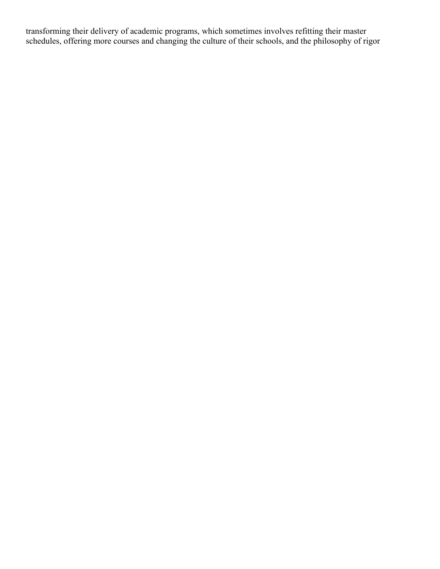transforming their delivery of academic programs, which sometimes involves refitting their master schedules, offering more courses and changing the culture of their schools, and the philosophy of rigor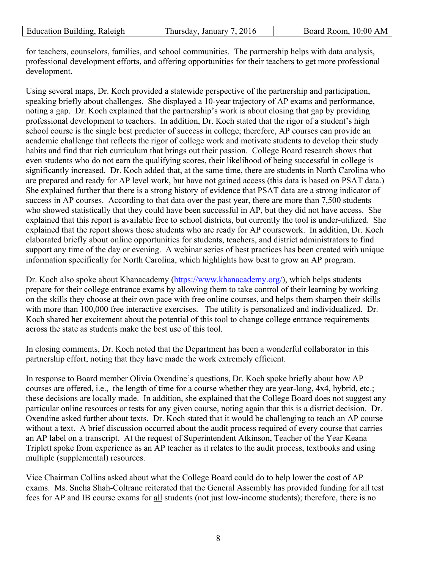| Education Building, Raleigh | Thursday, January 7, 2016 | Board Room, 10:00 AM |
|-----------------------------|---------------------------|----------------------|
|                             |                           |                      |

for teachers, counselors, families, and school communities. The partnership helps with data analysis, professional development efforts, and offering opportunities for their teachers to get more professional development.

Using several maps, Dr. Koch provided a statewide perspective of the partnership and participation, speaking briefly about challenges. She displayed a 10-year trajectory of AP exams and performance, noting a gap. Dr. Koch explained that the partnership's work is about closing that gap by providing professional development to teachers. In addition, Dr. Koch stated that the rigor of a student's high school course is the single best predictor of success in college; therefore, AP courses can provide an academic challenge that reflects the rigor of college work and motivate students to develop their study habits and find that rich curriculum that brings out their passion. College Board research shows that even students who do not earn the qualifying scores, their likelihood of being successful in college is significantly increased. Dr. Koch added that, at the same time, there are students in North Carolina who are prepared and ready for AP level work, but have not gained access (this data is based on PSAT data.) She explained further that there is a strong history of evidence that PSAT data are a strong indicator of success in AP courses. According to that data over the past year, there are more than 7,500 students who showed statistically that they could have been successful in AP, but they did not have access. She explained that this report is available free to school districts, but currently the tool is under-utilized. She explained that the report shows those students who are ready for AP coursework. In addition, Dr. Koch elaborated briefly about online opportunities for students, teachers, and district administrators to find support any time of the day or evening. A webinar series of best practices has been created with unique information specifically for North Carolina, which highlights how best to grow an AP program.

Dr. Koch also spoke about Khanacademy (https://www.khanacademy.org/), which helps students prepare for their college entrance exams by allowing them to take control of their learning by working on the skills they choose at their own pace with free online courses, and helps them sharpen their skills with more than 100,000 free interactive exercises. The utility is personalized and individualized. Dr. Koch shared her excitement about the potential of this tool to change college entrance requirements across the state as students make the best use of this tool.

In closing comments, Dr. Koch noted that the Department has been a wonderful collaborator in this partnership effort, noting that they have made the work extremely efficient.

In response to Board member Olivia Oxendine's questions, Dr. Koch spoke briefly about how AP courses are offered, i.e., the length of time for a course whether they are year-long, 4x4, hybrid, etc.; these decisions are locally made. In addition, she explained that the College Board does not suggest any particular online resources or tests for any given course, noting again that this is a district decision. Dr. Oxendine asked further about texts. Dr. Koch stated that it would be challenging to teach an AP course without a text. A brief discussion occurred about the audit process required of every course that carries an AP label on a transcript. At the request of Superintendent Atkinson, Teacher of the Year Keana Triplett spoke from experience as an AP teacher as it relates to the audit process, textbooks and using multiple (supplemental) resources.

Vice Chairman Collins asked about what the College Board could do to help lower the cost of AP exams. Ms. Sneha Shah-Coltrane reiterated that the General Assembly has provided funding for all test fees for AP and IB course exams for all students (not just low-income students); therefore, there is no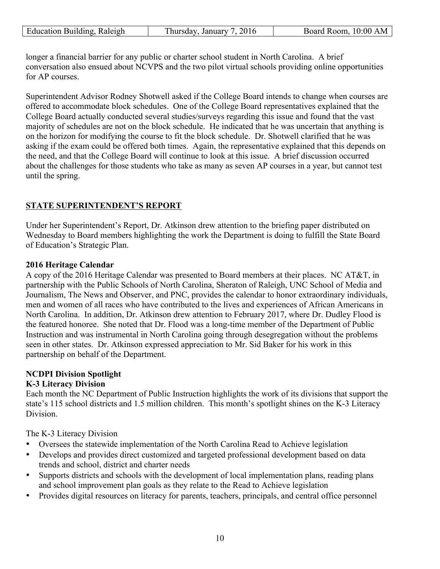| <b>Education Building, Raleigh</b> | Thursday, January 7, 2016 | Board Room, 10:00 AM |
|------------------------------------|---------------------------|----------------------|
|                                    |                           |                      |

longer a financial barrier for any public or charter school student in North Carolina. A brief conversation also ensued about NCVPS and the two pilot virtual schools providing online opportunities for AP courses.

Superintendent Advisor Rodney Shotwell asked if the College Board intends to change when courses are offered to accommodate block schedules. One of the College Board representatives explained that the College Board actually conducted several studies/surveys regarding this issue and found that the vast majority of schedules are not on the block schedule. He indicated that he was uncertain that anything is on the horizon for modifying the course to fit the block schedule. Dr. Shotwell clarified that he was asking if the exam could be offered both times. Again, the representative explained that this depends on the need, and that the College Board will continue to look at this issue. A brief discussion occurred about the challenges for those students who take as many as seven AP courses in a year, but cannot test until the spring.

# **STATE SUPERINTENDENT'S REPORT**

Under her Superintendent's Report, Dr. Atkinson drew attention to the briefing paper distributed on Wednesday to Board members highlighting the work the Department is doing to fulfill the State Board of Education's Strategic Plan.

## **2016 Heritage Calendar**

A copy of the 2016 Heritage Calendar was presented to Board members at their places. NC AT&T, in partnership with the Public Schools of North Carolina, Sheraton of Raleigh, UNC School of Media and Journalism, The News and Observer, and PNC, provides the calendar to honor extraordinary individuals, men and women of all races who have contributed to the lives and experiences of African Americans in North Carolina. In addition, Dr. Atkinson drew attention to February 2017, where Dr. Dudley Flood is the featured honoree. She noted that Dr. Flood was a long-time member of the Department of Public Instruction and was instrumental in North Carolina going through desegregation without the problems seen in other states. Dr. Atkinson expressed appreciation to Mr. Sid Baker for his work in this partnership on behalf of the Department.

# **NCDPI Division Spotlight**

# **K-3 Literacy Division**

Each month the NC Department of Public Instruction highlights the work of its divisions that support the state's 115 school districts and 1.5 million children. This month's spotlight shines on the K-3 Literacy **Division** 

The K-3 Literacy Division

- Oversees the statewide implementation of the North Carolina Read to Achieve legislation
- Develops and provides direct customized and targeted professional development based on data trends and school, district and charter needs
- Supports districts and schools with the development of local implementation plans, reading plans and school improvement plan goals as they relate to the Read to Achieve legislation
- Provides digital resources on literacy for parents, teachers, principals, and central office personnel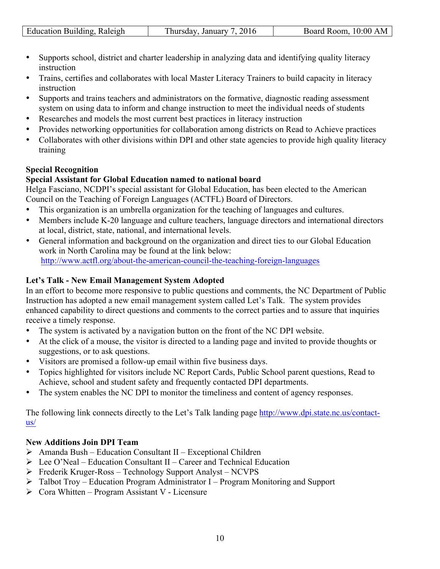| Raleigh<br>Education Building. | 2016<br>January<br>hursday. | 10:00<br>Board<br>Room. |
|--------------------------------|-----------------------------|-------------------------|

- Supports school, district and charter leadership in analyzing data and identifying quality literacy instruction
- Trains, certifies and collaborates with local Master Literacy Trainers to build capacity in literacy instruction
- Supports and trains teachers and administrators on the formative, diagnostic reading assessment system on using data to inform and change instruction to meet the individual needs of students
- Researches and models the most current best practices in literacy instruction
- Provides networking opportunities for collaboration among districts on Read to Achieve practices
- Collaborates with other divisions within DPI and other state agencies to provide high quality literacy training

## **Special Recognition**

## **Special Assistant for Global Education named to national board**

Helga Fasciano, NCDPI's special assistant for Global Education, has been elected to the American Council on the Teaching of Foreign Languages (ACTFL) Board of Directors.

- This organization is an umbrella organization for the teaching of languages and cultures.
- Members include K-20 language and culture teachers, language directors and international directors at local, district, state, national, and international levels.
- General information and background on the organization and direct ties to our Global Education work in North Carolina may be found at the link below: http://www.actfl.org/about-the-american-council-the-teaching-foreign-languages

# **Let's Talk - New Email Management System Adopted**

In an effort to become more responsive to public questions and comments, the NC Department of Public Instruction has adopted a new email management system called Let's Talk. The system provides enhanced capability to direct questions and comments to the correct parties and to assure that inquiries receive a timely response.

- The system is activated by a navigation button on the front of the NC DPI website.
- At the click of a mouse, the visitor is directed to a landing page and invited to provide thoughts or suggestions, or to ask questions.
- Visitors are promised a follow-up email within five business days.
- Topics highlighted for visitors include NC Report Cards, Public School parent questions, Read to Achieve, school and student safety and frequently contacted DPI departments.
- The system enables the NC DPI to monitor the timeliness and content of agency responses.

The following link connects directly to the Let's Talk landing page http://www.dpi.state.nc.us/contactus/

## **New Additions Join DPI Team**

- $\triangleright$  Amanda Bush Education Consultant II Exceptional Children
- $\triangleright$  Lee O'Neal Education Consultant II Career and Technical Education
- Ø Frederik Kruger-Ross Technology Support Analyst NCVPS
- Ø Talbot Troy Education Program Administrator I Program Monitoring and Support
- $\triangleright$  Cora Whitten Program Assistant V Licensure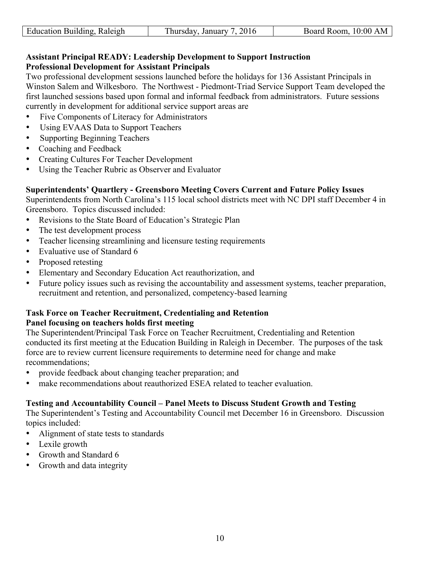| Raleigh<br>Building<br>Education | January<br>hursdav | 0:00<br>-----<br>R oom<br>оаго |
|----------------------------------|--------------------|--------------------------------|

## **Assistant Principal READY: Leadership Development to Support Instruction Professional Development for Assistant Principals**

Two professional development sessions launched before the holidays for 136 Assistant Principals in Winston Salem and Wilkesboro. The Northwest - Piedmont-Triad Service Support Team developed the first launched sessions based upon formal and informal feedback from administrators. Future sessions currently in development for additional service support areas are

- Five Components of Literacy for Administrators
- Using EVAAS Data to Support Teachers
- Supporting Beginning Teachers
- Coaching and Feedback
- Creating Cultures For Teacher Development
- Using the Teacher Rubric as Observer and Evaluator

## **Superintendents' Quartlery - Greensboro Meeting Covers Current and Future Policy Issues**

Superintendents from North Carolina's 115 local school districts meet with NC DPI staff December 4 in Greensboro. Topics discussed included:

- Revisions to the State Board of Education's Strategic Plan
- The test development process
- Teacher licensing streamlining and licensure testing requirements
- Evaluative use of Standard 6
- Proposed retesting
- Elementary and Secondary Education Act reauthorization, and
- Future policy issues such as revising the accountability and assessment systems, teacher preparation, recruitment and retention, and personalized, competency-based learning

#### **Task Force on Teacher Recruitment, Credentialing and Retention Panel focusing on teachers holds first meeting**

The Superintendent/Principal Task Force on Teacher Recruitment, Credentialing and Retention conducted its first meeting at the Education Building in Raleigh in December. The purposes of the task force are to review current licensure requirements to determine need for change and make recommendations;

- provide feedback about changing teacher preparation; and
- make recommendations about reauthorized ESEA related to teacher evaluation.

#### **Testing and Accountability Council – Panel Meets to Discuss Student Growth and Testing**

The Superintendent's Testing and Accountability Council met December 16 in Greensboro. Discussion topics included:

- Alignment of state tests to standards
- Lexile growth
- Growth and Standard 6
- Growth and data integrity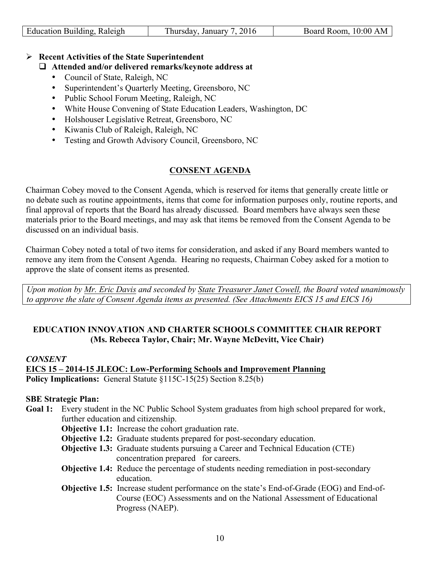| Education Building, Raleigh | Thursday, January 7, 2016 | Board Room, 10:00 AM |
|-----------------------------|---------------------------|----------------------|
|                             |                           |                      |

## Ø **Recent Activities of the State Superintendent**

# □ Attended and/or delivered remarks/keynote address at

- Council of State, Raleigh, NC
- Superintendent's Quarterly Meeting, Greensboro, NC
- Public School Forum Meeting, Raleigh, NC
- White House Convening of State Education Leaders, Washington, DC
- Holshouser Legislative Retreat, Greensboro, NC
- Kiwanis Club of Raleigh, Raleigh, NC
- Testing and Growth Advisory Council, Greensboro, NC

# **CONSENT AGENDA**

Chairman Cobey moved to the Consent Agenda, which is reserved for items that generally create little or no debate such as routine appointments, items that come for information purposes only, routine reports, and final approval of reports that the Board has already discussed. Board members have always seen these materials prior to the Board meetings, and may ask that items be removed from the Consent Agenda to be discussed on an individual basis.

Chairman Cobey noted a total of two items for consideration, and asked if any Board members wanted to remove any item from the Consent Agenda. Hearing no requests, Chairman Cobey asked for a motion to approve the slate of consent items as presented.

*Upon motion by Mr. Eric Davis and seconded by State Treasurer Janet Cowell, the Board voted unanimously to approve the slate of Consent Agenda items as presented. (See Attachments EICS 15 and EICS 16)*

## **EDUCATION INNOVATION AND CHARTER SCHOOLS COMMITTEE CHAIR REPORT (Ms. Rebecca Taylor, Chair; Mr. Wayne McDevitt, Vice Chair)**

## *CONSENT*

**EICS 15 – 2014-15 JLEOC: Low-Performing Schools and Improvement Planning Policy Implications:** General Statute §115C-15(25) Section 8.25(b)

## **SBE Strategic Plan:**

- **Goal 1:** Every student in the NC Public School System graduates from high school prepared for work, further education and citizenship.
	- **Objective 1.1:** Increase the cohort graduation rate.
	- **Objective 1.2:** Graduate students prepared for post-secondary education.
	- **Objective 1.3:** Graduate students pursuing a Career and Technical Education (CTE) concentration prepared for careers.
	- **Objective 1.4:** Reduce the percentage of students needing remediation in post-secondary education.
	- **Objective 1.5:** Increase student performance on the state's End-of-Grade (EOG) and End-of-Course (EOC) Assessments and on the National Assessment of Educational Progress (NAEP).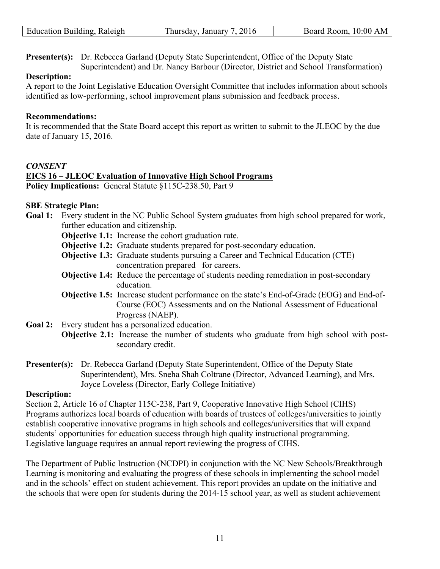| Education Building, Raleigh | $\Gamma$ hursday, January 7, 2016 | Board Room, 10:00 AM |
|-----------------------------|-----------------------------------|----------------------|
|-----------------------------|-----------------------------------|----------------------|

**Presenter(s):** Dr. Rebecca Garland (Deputy State Superintendent, Office of the Deputy State Superintendent) and Dr. Nancy Barbour (Director, District and School Transformation)

#### **Description:**

A report to the Joint Legislative Education Oversight Committee that includes information about schools identified as low-performing, school improvement plans submission and feedback process.

#### **Recommendations:**

It is recommended that the State Board accept this report as written to submit to the JLEOC by the due date of January 15, 2016.

## *CONSENT*

## **EICS 16 – JLEOC Evaluation of Innovative High School Programs**

**Policy Implications:** General Statute §115C-238.50, Part 9

## **SBE Strategic Plan:**

- Goal 1: Every student in the NC Public School System graduates from high school prepared for work, further education and citizenship.
	- **Objective 1.1:** Increase the cohort graduation rate.
	- **Objective 1.2:** Graduate students prepared for post-secondary education.
	- **Objective 1.3:** Graduate students pursuing a Career and Technical Education (CTE) concentration prepared for careers.
	- **Objective 1.4:** Reduce the percentage of students needing remediation in post-secondary education.
	- **Objective 1.5:** Increase student performance on the state's End-of-Grade (EOG) and End-of-Course (EOC) Assessments and on the National Assessment of Educational Progress (NAEP).
- **Goal 2:** Every student has a personalized education.
	- **Objective 2.1:** Increase the number of students who graduate from high school with postsecondary credit.
- **Presenter(s):** Dr. Rebecca Garland (Deputy State Superintendent, Office of the Deputy State Superintendent), Mrs. Sneha Shah Coltrane (Director, Advanced Learning), and Mrs. Joyce Loveless (Director, Early College Initiative)

#### **Description:**

Section 2, Article 16 of Chapter 115C-238, Part 9, Cooperative Innovative High School (CIHS) Programs authorizes local boards of education with boards of trustees of colleges/universities to jointly establish cooperative innovative programs in high schools and colleges/universities that will expand students' opportunities for education success through high quality instructional programming. Legislative language requires an annual report reviewing the progress of CIHS.

The Department of Public Instruction (NCDPI) in conjunction with the NC New Schools/Breakthrough Learning is monitoring and evaluating the progress of these schools in implementing the school model and in the schools' effect on student achievement. This report provides an update on the initiative and the schools that were open for students during the 2014-15 school year, as well as student achievement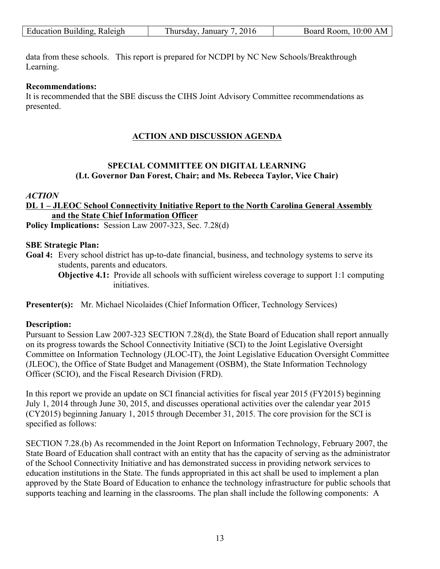| Education Building, Raleigh | 2016<br>. January 1<br>hursday. | 10:00 AM<br>Board Room, |
|-----------------------------|---------------------------------|-------------------------|
|                             |                                 |                         |

data from these schools. This report is prepared for NCDPI by NC New Schools/Breakthrough Learning.

#### **Recommendations:**

It is recommended that the SBE discuss the CIHS Joint Advisory Committee recommendations as presented.

## **ACTION AND DISCUSSION AGENDA**

# **SPECIAL COMMITTEE ON DIGITAL LEARNING (Lt. Governor Dan Forest, Chair; and Ms. Rebecca Taylor, Vice Chair)**

## *ACTION*

## **DL 1 – JLEOC School Connectivity Initiative Report to the North Carolina General Assembly and the State Chief Information Officer**

**Policy Implications:** Session Law 2007-323, Sec. 7.28(d)

## **SBE Strategic Plan:**

**Goal 4:** Every school district has up-to-date financial, business, and technology systems to serve its students, parents and educators.

**Objective 4.1:** Provide all schools with sufficient wireless coverage to support 1:1 computing initiatives.

**Presenter(s):** Mr. Michael Nicolaides (Chief Information Officer, Technology Services)

## **Description:**

Pursuant to Session Law 2007-323 SECTION 7.28(d), the State Board of Education shall report annually on its progress towards the School Connectivity Initiative (SCI) to the Joint Legislative Oversight Committee on Information Technology (JLOC-IT), the Joint Legislative Education Oversight Committee (JLEOC), the Office of State Budget and Management (OSBM), the State Information Technology Officer (SCIO), and the Fiscal Research Division (FRD).

In this report we provide an update on SCI financial activities for fiscal year 2015 (FY2015) beginning July 1, 2014 through June 30, 2015, and discusses operational activities over the calendar year 2015 (CY2015) beginning January 1, 2015 through December 31, 2015. The core provision for the SCI is specified as follows:

SECTION 7.28.(b) As recommended in the Joint Report on Information Technology, February 2007, the State Board of Education shall contract with an entity that has the capacity of serving as the administrator of the School Connectivity Initiative and has demonstrated success in providing network services to education institutions in the State. The funds appropriated in this act shall be used to implement a plan approved by the State Board of Education to enhance the technology infrastructure for public schools that supports teaching and learning in the classrooms. The plan shall include the following components: A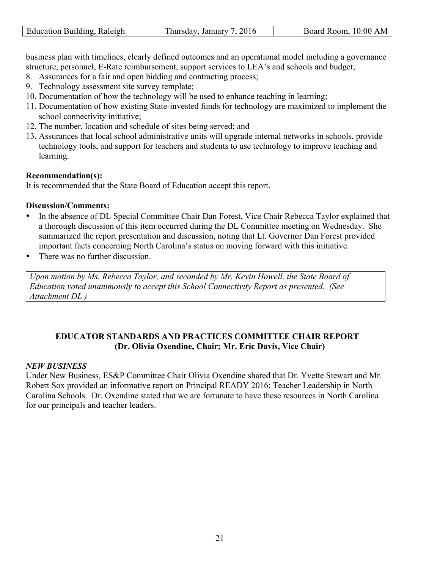| Education Building, Raleigh | Thursday, January 7, 2016 | Board Room, 10:00 AM |
|-----------------------------|---------------------------|----------------------|

business plan with timelines, clearly defined outcomes and an operational model including a governance structure, personnel, E-Rate reimbursement, support services to LEA's and schools and budget;

- 8. Assurances for a fair and open bidding and contracting process;
- 9. Technology assessment site survey template;
- 10. Documentation of how the technology will be used to enhance teaching in learning;
- 11. Documentation of how existing State-invested funds for technology are maximized to implement the school connectivity initiative;
- 12. The number, location and schedule of sites being served; and
- 13. Assurances that local school administrative units will upgrade internal networks in schools, provide technology tools, and support for teachers and students to use technology to improve teaching and learning.

#### **Recommendation(s):**

It is recommended that the State Board of Education accept this report.

#### **Discussion/Comments:**

- In the absence of DL Special Committee Chair Dan Forest, Vice Chair Rebecca Taylor explained that a thorough discussion of this item occurred during the DL Committee meeting on Wednesday. She summarized the report presentation and discussion, noting that Lt. Governor Dan Forest provided important facts concerning North Carolina's status on moving forward with this initiative.
- There was no further discussion.

*Upon motion by Ms. Rebecca Taylor, and seconded by Mr. Kevin Howell, the State Board of Education voted unanimously to accept this School Connectivity Report as presented. (See Attachment DL )* 

## **EDUCATOR STANDARDS AND PRACTICES COMMITTEE CHAIR REPORT (Dr. Olivia Oxendine, Chair; Mr. Eric Davis, Vice Chair)**

#### *NEW BUSINESS*

Under New Business, ES&P Committee Chair Olivia Oxendine shared that Dr. Yvette Stewart and Mr. Robert Sox provided an informative report on Principal READY 2016: Teacher Leadership in North Carolina Schools. Dr. Oxendine stated that we are fortunate to have these resources in North Carolina for our principals and teacher leaders.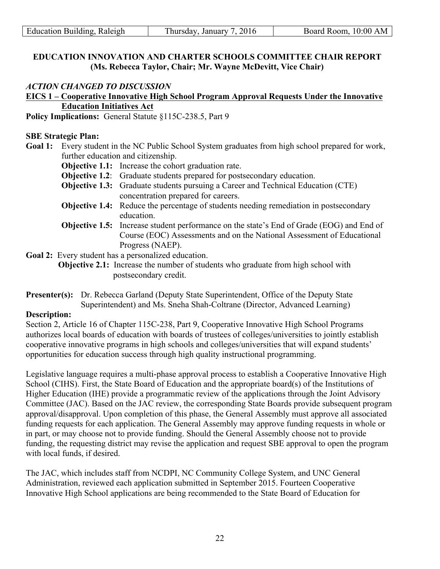| Education Building, Raleigh | Thursday, January 7, 2016 | Board Room, 10:00 AM |
|-----------------------------|---------------------------|----------------------|

## **EDUCATION INNOVATION AND CHARTER SCHOOLS COMMITTEE CHAIR REPORT (Ms. Rebecca Taylor, Chair; Mr. Wayne McDevitt, Vice Chair)**

## *ACTION CHANGED TO DISCUSSION*

## **EICS 1 – Cooperative Innovative High School Program Approval Requests Under the Innovative Education Initiatives Act**

**Policy Implications:** General Statute §115C-238.5, Part 9

#### **SBE Strategic Plan:**

**Goal 1:** Every student in the NC Public School System graduates from high school prepared for work, further education and citizenship.

**Objective 1.1:** Increase the cohort graduation rate.

- **Objective 1.2:** Graduate students prepared for postsecondary education.
- **Objective 1.3:** Graduate students pursuing a Career and Technical Education (CTE) concentration prepared for careers.
- **Objective 1.4:** Reduce the percentage of students needing remediation in postsecondary education.
- **Objective 1.5:** Increase student performance on the state's End of Grade (EOG) and End of Course (EOC) Assessments and on the National Assessment of Educational Progress (NAEP).

**Goal 2:** Every student has a personalized education.

**Objective 2.1:** Increase the number of students who graduate from high school with postsecondary credit.

**Presenter(s):** Dr. Rebecca Garland (Deputy State Superintendent, Office of the Deputy State Superintendent) and Ms. Sneha Shah-Coltrane (Director, Advanced Learning)

#### **Description:**

Section 2, Article 16 of Chapter 115C-238, Part 9, Cooperative Innovative High School Programs authorizes local boards of education with boards of trustees of colleges/universities to jointly establish cooperative innovative programs in high schools and colleges/universities that will expand students' opportunities for education success through high quality instructional programming.

Legislative language requires a multi-phase approval process to establish a Cooperative Innovative High School (CIHS). First, the State Board of Education and the appropriate board(s) of the Institutions of Higher Education (IHE) provide a programmatic review of the applications through the Joint Advisory Committee (JAC). Based on the JAC review, the corresponding State Boards provide subsequent program approval/disapproval. Upon completion of this phase, the General Assembly must approve all associated funding requests for each application. The General Assembly may approve funding requests in whole or in part, or may choose not to provide funding. Should the General Assembly choose not to provide funding, the requesting district may revise the application and request SBE approval to open the program with local funds, if desired.

The JAC, which includes staff from NCDPI, NC Community College System, and UNC General Administration, reviewed each application submitted in September 2015. Fourteen Cooperative Innovative High School applications are being recommended to the State Board of Education for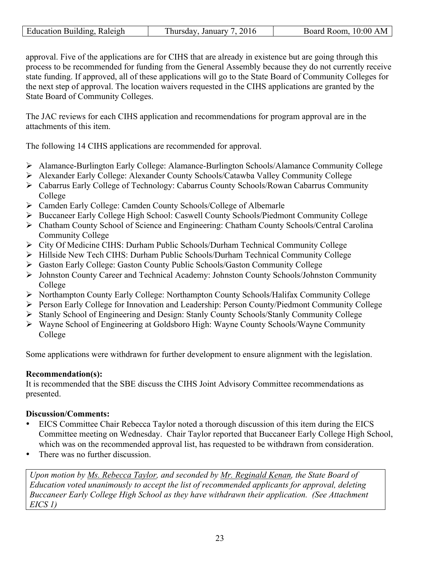| Education Building, Raleigh | Thursday, January 7, 2016 | Board Room, 10:00 AM |
|-----------------------------|---------------------------|----------------------|

approval. Five of the applications are for CIHS that are already in existence but are going through this process to be recommended for funding from the General Assembly because they do not currently receive state funding. If approved, all of these applications will go to the State Board of Community Colleges for the next step of approval. The location waivers requested in the CIHS applications are granted by the State Board of Community Colleges.

The JAC reviews for each CIHS application and recommendations for program approval are in the attachments of this item.

The following 14 CIHS applications are recommended for approval.

- Ø Alamance-Burlington Early College: Alamance-Burlington Schools/Alamance Community College
- Ø Alexander Early College: Alexander County Schools/Catawba Valley Community College
- Ø Cabarrus Early College of Technology: Cabarrus County Schools/Rowan Cabarrus Community College
- Ø Camden Early College: Camden County Schools/College of Albemarle
- Ø Buccaneer Early College High School: Caswell County Schools/Piedmont Community College
- Ø Chatham County School of Science and Engineering: Chatham County Schools/Central Carolina Community College
- Ø City Of Medicine CIHS: Durham Public Schools/Durham Technical Community College
- Ø Hillside New Tech CIHS: Durham Public Schools/Durham Technical Community College
- Ø Gaston Early College: Gaston County Public Schools/Gaston Community College
- Ø Johnston County Career and Technical Academy: Johnston County Schools/Johnston Community College
- Ø Northampton County Early College: Northampton County Schools/Halifax Community College
- Ø Person Early College for Innovation and Leadership: Person County/Piedmont Community College
- Ø Stanly School of Engineering and Design: Stanly County Schools/Stanly Community College
- Ø Wayne School of Engineering at Goldsboro High: Wayne County Schools/Wayne Community College

Some applications were withdrawn for further development to ensure alignment with the legislation.

# **Recommendation(s):**

It is recommended that the SBE discuss the CIHS Joint Advisory Committee recommendations as presented.

## **Discussion/Comments:**

- EICS Committee Chair Rebecca Taylor noted a thorough discussion of this item during the EICS Committee meeting on Wednesday. Chair Taylor reported that Buccaneer Early College High School, which was on the recommended approval list, has requested to be withdrawn from consideration.
- There was no further discussion.

*Upon motion by Ms. Rebecca Taylor, and seconded by Mr. Reginald Kenan, the State Board of Education voted unanimously to accept the list of recommended applicants for approval, deleting Buccaneer Early College High School as they have withdrawn their application. (See Attachment EICS 1)*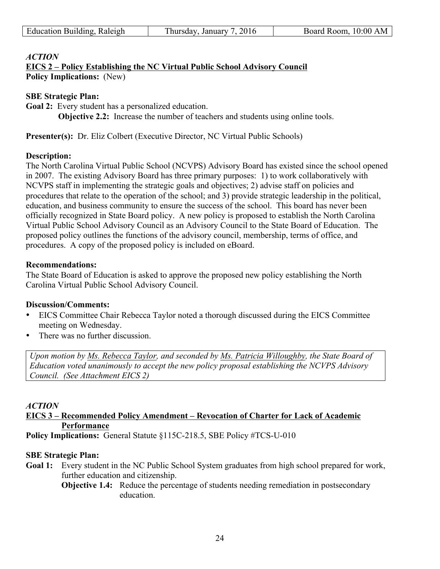## *ACTION*

**EICS 2 – Policy Establishing the NC Virtual Public School Advisory Council Policy Implications:** (New)

#### **SBE Strategic Plan:**

**Goal 2:** Every student has a personalized education.

**Objective 2.2:** Increase the number of teachers and students using online tools.

**Presenter(s):** Dr. Eliz Colbert (Executive Director, NC Virtual Public Schools)

#### **Description:**

The North Carolina Virtual Public School (NCVPS) Advisory Board has existed since the school opened in 2007. The existing Advisory Board has three primary purposes: 1) to work collaboratively with NCVPS staff in implementing the strategic goals and objectives; 2) advise staff on policies and procedures that relate to the operation of the school; and 3) provide strategic leadership in the political, education, and business community to ensure the success of the school. This board has never been officially recognized in State Board policy. A new policy is proposed to establish the North Carolina Virtual Public School Advisory Council as an Advisory Council to the State Board of Education. The proposed policy outlines the functions of the advisory council, membership, terms of office, and procedures. A copy of the proposed policy is included on eBoard.

#### **Recommendations:**

The State Board of Education is asked to approve the proposed new policy establishing the North Carolina Virtual Public School Advisory Council.

#### **Discussion/Comments:**

- EICS Committee Chair Rebecca Taylor noted a thorough discussed during the EICS Committee meeting on Wednesday.
- There was no further discussion.

*Upon motion by Ms. Rebecca Taylor, and seconded by Ms. Patricia Willoughby, the State Board of Education voted unanimously to accept the new policy proposal establishing the NCVPS Advisory Council. (See Attachment EICS 2)* 

#### *ACTION*

## **EICS 3 – Recommended Policy Amendment – Revocation of Charter for Lack of Academic Performance**

**Policy Implications:** General Statute §115C-218.5, SBE Policy #TCS-U-010

#### **SBE Strategic Plan:**

**Goal 1:** Every student in the NC Public School System graduates from high school prepared for work, further education and citizenship.

**Objective 1.4:** Reduce the percentage of students needing remediation in postsecondary education.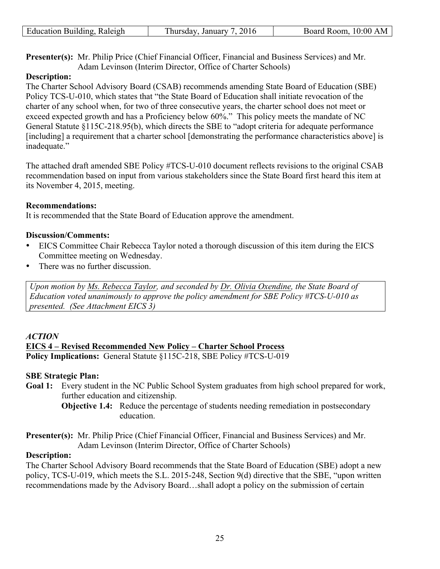| Education Building, Raleigh | Thursday, January 7, 2016 | Board Room, 10:00 AM |
|-----------------------------|---------------------------|----------------------|
|                             |                           |                      |

**Presenter(s):** Mr. Philip Price (Chief Financial Officer, Financial and Business Services) and Mr. Adam Levinson (Interim Director, Office of Charter Schools)

## **Description:**

The Charter School Advisory Board (CSAB) recommends amending State Board of Education (SBE) Policy TCS-U-010, which states that "the State Board of Education shall initiate revocation of the charter of any school when, for two of three consecutive years, the charter school does not meet or exceed expected growth and has a Proficiency below 60%." This policy meets the mandate of NC General Statute §115C-218.95(b), which directs the SBE to "adopt criteria for adequate performance [including] a requirement that a charter school [demonstrating the performance characteristics above] is inadequate."

The attached draft amended SBE Policy #TCS-U-010 document reflects revisions to the original CSAB recommendation based on input from various stakeholders since the State Board first heard this item at its November 4, 2015, meeting.

## **Recommendations:**

It is recommended that the State Board of Education approve the amendment.

## **Discussion/Comments:**

- EICS Committee Chair Rebecca Taylor noted a thorough discussion of this item during the EICS Committee meeting on Wednesday.
- There was no further discussion.

*Upon motion by Ms. Rebecca Taylor, and seconded by Dr. Olivia Oxendine, the State Board of Education voted unanimously to approve the policy amendment for SBE Policy #TCS-U-010 as presented. (See Attachment EICS 3)* 

#### *ACTION*

#### **EICS 4 – Revised Recommended New Policy – Charter School Process Policy Implications:** General Statute §115C-218, SBE Policy #TCS-U-019

## **SBE Strategic Plan:**

**Goal 1:** Every student in the NC Public School System graduates from high school prepared for work, further education and citizenship.

**Objective 1.4:** Reduce the percentage of students needing remediation in postsecondary education.

**Presenter(s):** Mr. Philip Price (Chief Financial Officer, Financial and Business Services) and Mr. Adam Levinson (Interim Director, Office of Charter Schools)

## **Description:**

The Charter School Advisory Board recommends that the State Board of Education (SBE) adopt a new policy, TCS-U-019, which meets the S.L. 2015-248, Section 9(d) directive that the SBE, "upon written recommendations made by the Advisory Board…shall adopt a policy on the submission of certain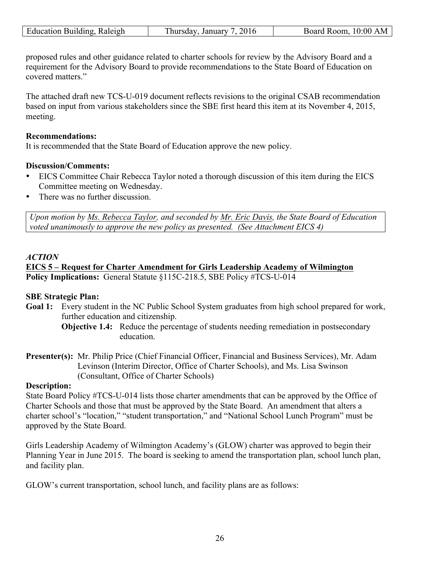| Raleigh<br>ducation.<br>Building | January<br>hursdav | 10:00<br>R00m<br>Board<br>Δ |
|----------------------------------|--------------------|-----------------------------|
|                                  | ``                 |                             |
|                                  |                    |                             |

proposed rules and other guidance related to charter schools for review by the Advisory Board and a requirement for the Advisory Board to provide recommendations to the State Board of Education on covered matters."

The attached draft new TCS-U-019 document reflects revisions to the original CSAB recommendation based on input from various stakeholders since the SBE first heard this item at its November 4, 2015, meeting.

#### **Recommendations:**

It is recommended that the State Board of Education approve the new policy.

#### **Discussion/Comments:**

- EICS Committee Chair Rebecca Taylor noted a thorough discussion of this item during the EICS Committee meeting on Wednesday.
- There was no further discussion.

*Upon motion by Ms. Rebecca Taylor, and seconded by Mr. Eric Davis, the State Board of Education voted unanimously to approve the new policy as presented. (See Attachment EICS 4)* 

#### *ACTION*

**EICS 5 – Request for Charter Amendment for Girls Leadership Academy of Wilmington Policy Implications:** General Statute §115C-218.5, SBE Policy #TCS-U-014

#### **SBE Strategic Plan:**

- Goal 1: Every student in the NC Public School System graduates from high school prepared for work, further education and citizenship.
	- **Objective 1.4:** Reduce the percentage of students needing remediation in postsecondary education.
- **Presenter(s):** Mr. Philip Price (Chief Financial Officer, Financial and Business Services), Mr. Adam Levinson (Interim Director, Office of Charter Schools), and Ms. Lisa Swinson (Consultant, Office of Charter Schools)

#### **Description:**

State Board Policy #TCS-U-014 lists those charter amendments that can be approved by the Office of Charter Schools and those that must be approved by the State Board. An amendment that alters a charter school's "location," "student transportation," and "National School Lunch Program" must be approved by the State Board.

Girls Leadership Academy of Wilmington Academy's (GLOW) charter was approved to begin their Planning Year in June 2015. The board is seeking to amend the transportation plan, school lunch plan, and facility plan.

GLOW's current transportation, school lunch, and facility plans are as follows: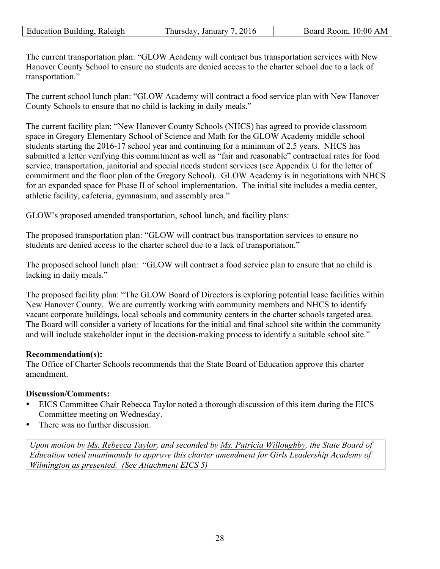| Education Building, Raleigh | 201<br>January<br>hursdav. | 10:00 AM<br>Room.<br>Board |
|-----------------------------|----------------------------|----------------------------|
|-----------------------------|----------------------------|----------------------------|

The current transportation plan: "GLOW Academy will contract bus transportation services with New Hanover County School to ensure no students are denied access to the charter school due to a lack of transportation."

The current school lunch plan: "GLOW Academy will contract a food service plan with New Hanover County Schools to ensure that no child is lacking in daily meals."

The current facility plan: "New Hanover County Schools (NHCS) has agreed to provide classroom space in Gregory Elementary School of Science and Math for the GLOW Academy middle school students starting the 2016-17 school year and continuing for a minimum of 2.5 years. NHCS has submitted a letter verifying this commitment as well as "fair and reasonable" contractual rates for food service, transportation, janitorial and special needs student services (see Appendix U for the letter of commitment and the floor plan of the Gregory School). GLOW Academy is in negotiations with NHCS for an expanded space for Phase II of school implementation. The initial site includes a media center, athletic facility, cafeteria, gymnasium, and assembly area."

GLOW's proposed amended transportation, school lunch, and facility plans:

The proposed transportation plan: "GLOW will contract bus transportation services to ensure no students are denied access to the charter school due to a lack of transportation."

The proposed school lunch plan: "GLOW will contract a food service plan to ensure that no child is lacking in daily meals."

The proposed facility plan: "The GLOW Board of Directors is exploring potential lease facilities within New Hanover County. We are currently working with community members and NHCS to identify vacant corporate buildings, local schools and community centers in the charter schools targeted area. The Board will consider a variety of locations for the initial and final school site within the community and will include stakeholder input in the decision-making process to identify a suitable school site."

# **Recommendation(s):**

The Office of Charter Schools recommends that the State Board of Education approve this charter amendment.

## **Discussion/Comments:**

- EICS Committee Chair Rebecca Taylor noted a thorough discussion of this item during the EICS Committee meeting on Wednesday.
- There was no further discussion.

*Upon motion by Ms. Rebecca Taylor, and seconded by Ms. Patricia Willoughby, the State Board of Education voted unanimously to approve this charter amendment for Girls Leadership Academy of Wilmington as presented. (See Attachment EICS 5)*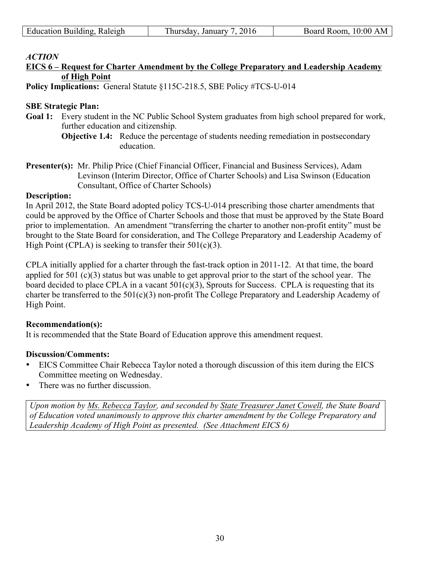| <b>Education Building, Raleigh</b> | Thursday, January 7, 2016 | Board Room, 10:00 AM |
|------------------------------------|---------------------------|----------------------|
|                                    |                           |                      |
|                                    |                           |                      |

#### *ACTION*

## **EICS 6 – Request for Charter Amendment by the College Preparatory and Leadership Academy of High Point**

**Policy Implications:** General Statute §115C-218.5, SBE Policy #TCS-U-014

#### **SBE Strategic Plan:**

- **Goal 1:** Every student in the NC Public School System graduates from high school prepared for work, further education and citizenship.
	- **Objective 1.4:** Reduce the percentage of students needing remediation in postsecondary education.
- **Presenter(s):** Mr. Philip Price (Chief Financial Officer, Financial and Business Services), Adam Levinson (Interim Director, Office of Charter Schools) and Lisa Swinson (Education Consultant, Office of Charter Schools)

#### **Description:**

In April 2012, the State Board adopted policy TCS-U-014 prescribing those charter amendments that could be approved by the Office of Charter Schools and those that must be approved by the State Board prior to implementation. An amendment "transferring the charter to another non-profit entity" must be brought to the State Board for consideration, and The College Preparatory and Leadership Academy of High Point (CPLA) is seeking to transfer their  $501(c)(3)$ .

CPLA initially applied for a charter through the fast-track option in 2011-12. At that time, the board applied for 501 (c)(3) status but was unable to get approval prior to the start of the school year. The board decided to place CPLA in a vacant  $501(c)(3)$ , Sprouts for Success. CPLA is requesting that its charter be transferred to the 501(c)(3) non-profit The College Preparatory and Leadership Academy of High Point.

#### **Recommendation(s):**

It is recommended that the State Board of Education approve this amendment request.

#### **Discussion/Comments:**

- EICS Committee Chair Rebecca Taylor noted a thorough discussion of this item during the EICS Committee meeting on Wednesday.
- There was no further discussion

*Upon motion by Ms. Rebecca Taylor, and seconded by State Treasurer Janet Cowell, the State Board of Education voted unanimously to approve this charter amendment by the College Preparatory and Leadership Academy of High Point as presented. (See Attachment EICS 6)*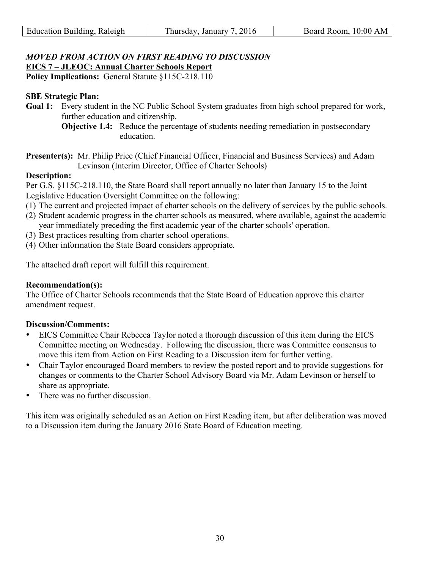## *MOVED FROM ACTION ON FIRST READING TO DISCUSSION*  **EICS 7 – JLEOC: Annual Charter Schools Report**

**Policy Implications:** General Statute §115C-218.110

## **SBE Strategic Plan:**

- **Goal 1:** Every student in the NC Public School System graduates from high school prepared for work, further education and citizenship.
	- **Objective 1.4:** Reduce the percentage of students needing remediation in postsecondary education.
- **Presenter(s):** Mr. Philip Price (Chief Financial Officer, Financial and Business Services) and Adam Levinson (Interim Director, Office of Charter Schools)

## **Description:**

Per G.S. §115C-218.110, the State Board shall report annually no later than January 15 to the Joint Legislative Education Oversight Committee on the following:

- (1) The current and projected impact of charter schools on the delivery of services by the public schools.
- (2) Student academic progress in the charter schools as measured, where available, against the academic year immediately preceding the first academic year of the charter schools' operation.
- (3) Best practices resulting from charter school operations.
- (4) Other information the State Board considers appropriate.

The attached draft report will fulfill this requirement.

## **Recommendation(s):**

The Office of Charter Schools recommends that the State Board of Education approve this charter amendment request.

## **Discussion/Comments:**

- EICS Committee Chair Rebecca Taylor noted a thorough discussion of this item during the EICS Committee meeting on Wednesday. Following the discussion, there was Committee consensus to move this item from Action on First Reading to a Discussion item for further vetting.
- Chair Taylor encouraged Board members to review the posted report and to provide suggestions for changes or comments to the Charter School Advisory Board via Mr. Adam Levinson or herself to share as appropriate.
- There was no further discussion.

This item was originally scheduled as an Action on First Reading item, but after deliberation was moved to a Discussion item during the January 2016 State Board of Education meeting.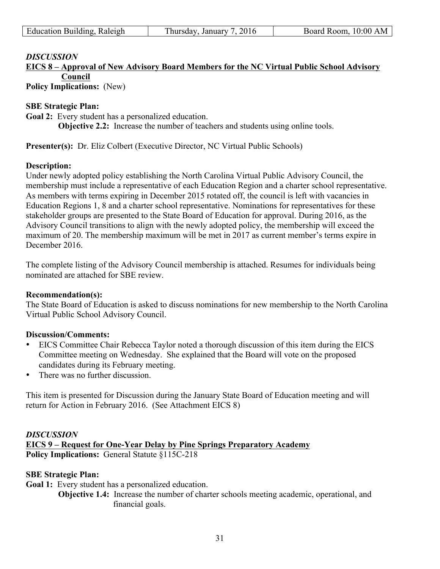| Education Building, Raleigh | Thursday, January 7, 2016 | Board Room, 10:00 AM |
|-----------------------------|---------------------------|----------------------|

# **EICS 8 – Approval of New Advisory Board Members for the NC Virtual Public School Advisory Council**

**Policy Implications:** (New)

## **SBE Strategic Plan:**

**Goal 2:** Every student has a personalized education.

**Objective 2.2:** Increase the number of teachers and students using online tools.

**Presenter(s):** Dr. Eliz Colbert (Executive Director, NC Virtual Public Schools)

## **Description:**

Under newly adopted policy establishing the North Carolina Virtual Public Advisory Council, the membership must include a representative of each Education Region and a charter school representative. As members with terms expiring in December 2015 rotated off, the council is left with vacancies in Education Regions 1, 8 and a charter school representative. Nominations for representatives for these stakeholder groups are presented to the State Board of Education for approval. During 2016, as the Advisory Council transitions to align with the newly adopted policy, the membership will exceed the maximum of 20. The membership maximum will be met in 2017 as current member's terms expire in December 2016.

The complete listing of the Advisory Council membership is attached. Resumes for individuals being nominated are attached for SBE review.

#### **Recommendation(s):**

The State Board of Education is asked to discuss nominations for new membership to the North Carolina Virtual Public School Advisory Council.

#### **Discussion/Comments:**

- EICS Committee Chair Rebecca Taylor noted a thorough discussion of this item during the EICS Committee meeting on Wednesday. She explained that the Board will vote on the proposed candidates during its February meeting.
- There was no further discussion.

This item is presented for Discussion during the January State Board of Education meeting and will return for Action in February 2016. (See Attachment EICS 8)

## *DISCUSSION*

**EICS 9 – Request for One-Year Delay by Pine Springs Preparatory Academy Policy Implications:** General Statute §115C-218

#### **SBE Strategic Plan:**

**Goal 1:** Every student has a personalized education.

**Objective 1.4:** Increase the number of charter schools meeting academic, operational, and financial goals.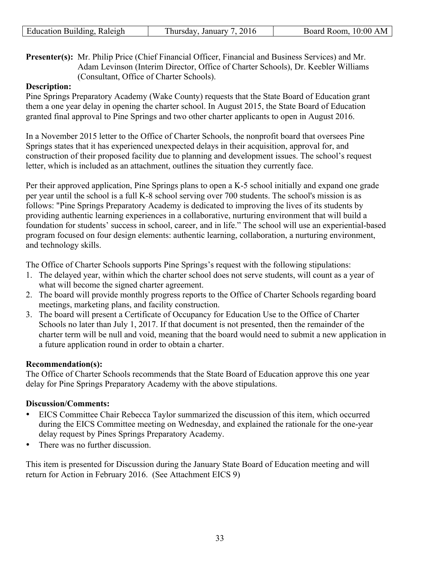| Raleigh<br>ducation.<br>Building | January<br>hursdav | 10:00<br>R00m<br>Board<br>Δ |
|----------------------------------|--------------------|-----------------------------|
|                                  | ``                 |                             |
|                                  |                    |                             |

**Presenter(s):** Mr. Philip Price (Chief Financial Officer, Financial and Business Services) and Mr. Adam Levinson (Interim Director, Office of Charter Schools), Dr. Keebler Williams (Consultant, Office of Charter Schools).

## **Description:**

Pine Springs Preparatory Academy (Wake County) requests that the State Board of Education grant them a one year delay in opening the charter school. In August 2015, the State Board of Education granted final approval to Pine Springs and two other charter applicants to open in August 2016.

In a November 2015 letter to the Office of Charter Schools, the nonprofit board that oversees Pine Springs states that it has experienced unexpected delays in their acquisition, approval for, and construction of their proposed facility due to planning and development issues. The school's request letter, which is included as an attachment, outlines the situation they currently face.

Per their approved application, Pine Springs plans to open a K-5 school initially and expand one grade per year until the school is a full K-8 school serving over 700 students. The school's mission is as follows: "Pine Springs Preparatory Academy is dedicated to improving the lives of its students by providing authentic learning experiences in a collaborative, nurturing environment that will build a foundation for students' success in school, career, and in life." The school will use an experiential-based program focused on four design elements: authentic learning, collaboration, a nurturing environment, and technology skills.

The Office of Charter Schools supports Pine Springs's request with the following stipulations:

- 1. The delayed year, within which the charter school does not serve students, will count as a year of what will become the signed charter agreement.
- 2. The board will provide monthly progress reports to the Office of Charter Schools regarding board meetings, marketing plans, and facility construction.
- 3. The board will present a Certificate of Occupancy for Education Use to the Office of Charter Schools no later than July 1, 2017. If that document is not presented, then the remainder of the charter term will be null and void, meaning that the board would need to submit a new application in a future application round in order to obtain a charter.

#### **Recommendation(s):**

The Office of Charter Schools recommends that the State Board of Education approve this one year delay for Pine Springs Preparatory Academy with the above stipulations.

## **Discussion/Comments:**

- EICS Committee Chair Rebecca Taylor summarized the discussion of this item, which occurred during the EICS Committee meeting on Wednesday, and explained the rationale for the one-year delay request by Pines Springs Preparatory Academy.
- There was no further discussion.

This item is presented for Discussion during the January State Board of Education meeting and will return for Action in February 2016. (See Attachment EICS 9)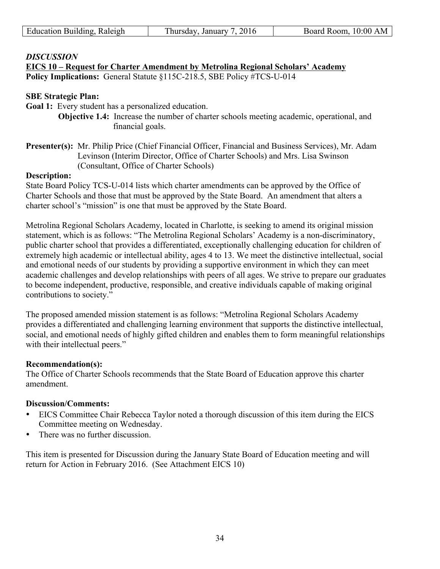| Education Building, Raleigh | Thursday, January 7, 2016 | Board Room, 10:00 AM |
|-----------------------------|---------------------------|----------------------|
|                             |                           |                      |

**EICS 10 – Request for Charter Amendment by Metrolina Regional Scholars' Academy Policy Implications:** General Statute §115C-218.5, SBE Policy #TCS-U-014

## **SBE Strategic Plan:**

**Goal 1:** Every student has a personalized education.

**Objective 1.4:** Increase the number of charter schools meeting academic, operational, and financial goals.

**Presenter(s):** Mr. Philip Price (Chief Financial Officer, Financial and Business Services), Mr. Adam Levinson (Interim Director, Office of Charter Schools) and Mrs. Lisa Swinson (Consultant, Office of Charter Schools)

#### **Description:**

State Board Policy TCS-U-014 lists which charter amendments can be approved by the Office of Charter Schools and those that must be approved by the State Board. An amendment that alters a charter school's "mission" is one that must be approved by the State Board.

Metrolina Regional Scholars Academy, located in Charlotte, is seeking to amend its original mission statement, which is as follows: "The Metrolina Regional Scholars' Academy is a non-discriminatory, public charter school that provides a differentiated, exceptionally challenging education for children of extremely high academic or intellectual ability, ages 4 to 13. We meet the distinctive intellectual, social and emotional needs of our students by providing a supportive environment in which they can meet academic challenges and develop relationships with peers of all ages. We strive to prepare our graduates to become independent, productive, responsible, and creative individuals capable of making original contributions to society."

The proposed amended mission statement is as follows: "Metrolina Regional Scholars Academy provides a differentiated and challenging learning environment that supports the distinctive intellectual, social, and emotional needs of highly gifted children and enables them to form meaningful relationships with their intellectual peers."

## **Recommendation(s):**

The Office of Charter Schools recommends that the State Board of Education approve this charter amendment.

## **Discussion/Comments:**

- EICS Committee Chair Rebecca Taylor noted a thorough discussion of this item during the EICS Committee meeting on Wednesday.
- There was no further discussion

This item is presented for Discussion during the January State Board of Education meeting and will return for Action in February 2016. (See Attachment EICS 10)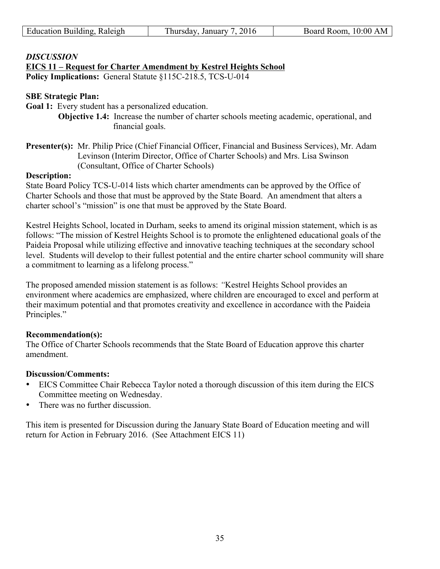| Education Building, Raleigh | Thursday, January 7, 2016 | Board Room, 10:00 AM |
|-----------------------------|---------------------------|----------------------|
|                             |                           |                      |

## **EICS 11 – Request for Charter Amendment by Kestrel Heights School**

**Policy Implications:** General Statute §115C-218.5, TCS-U-014

## **SBE Strategic Plan:**

Goal 1: Every student has a personalized education.

**Objective 1.4:** Increase the number of charter schools meeting academic, operational, and financial goals.

**Presenter(s):** Mr. Philip Price (Chief Financial Officer, Financial and Business Services), Mr. Adam Levinson (Interim Director, Office of Charter Schools) and Mrs. Lisa Swinson (Consultant, Office of Charter Schools)

#### **Description:**

State Board Policy TCS-U-014 lists which charter amendments can be approved by the Office of Charter Schools and those that must be approved by the State Board. An amendment that alters a charter school's "mission" is one that must be approved by the State Board.

Kestrel Heights School, located in Durham, seeks to amend its original mission statement, which is as follows: "The mission of Kestrel Heights School is to promote the enlightened educational goals of the Paideia Proposal while utilizing effective and innovative teaching techniques at the secondary school level. Students will develop to their fullest potential and the entire charter school community will share a commitment to learning as a lifelong process."

The proposed amended mission statement is as follows: *"*Kestrel Heights School provides an environment where academics are emphasized, where children are encouraged to excel and perform at their maximum potential and that promotes creativity and excellence in accordance with the Paideia Principles."

## **Recommendation(s):**

The Office of Charter Schools recommends that the State Board of Education approve this charter amendment.

#### **Discussion/Comments:**

- EICS Committee Chair Rebecca Taylor noted a thorough discussion of this item during the EICS Committee meeting on Wednesday.
- There was no further discussion.

This item is presented for Discussion during the January State Board of Education meeting and will return for Action in February 2016. (See Attachment EICS 11)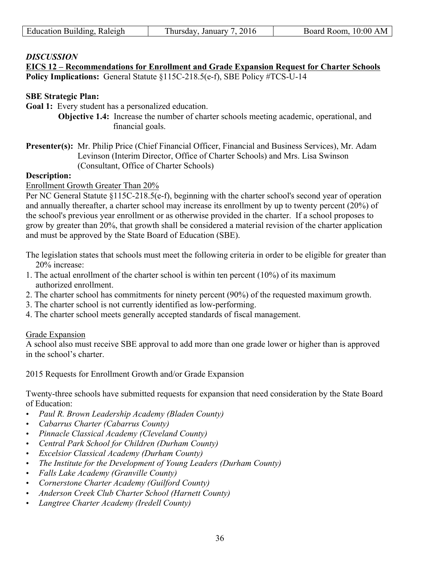| Education Building, Raleigh | Thursday, January 7, 2016 | Board Room, 10:00 AM |
|-----------------------------|---------------------------|----------------------|
|                             |                           |                      |

**EICS 12 – Recommendations for Enrollment and Grade Expansion Request for Charter Schools Policy Implications:** General Statute §115C-218.5(e-f), SBE Policy #TCS-U-14

#### **SBE Strategic Plan:**

**Goal 1:** Every student has a personalized education.

**Objective 1.4:** Increase the number of charter schools meeting academic, operational, and financial goals.

**Presenter(s):** Mr. Philip Price (Chief Financial Officer, Financial and Business Services), Mr. Adam Levinson (Interim Director, Office of Charter Schools) and Mrs. Lisa Swinson (Consultant, Office of Charter Schools)

#### **Description:**

Enrollment Growth Greater Than 20%

Per NC General Statute §115C-218.5(e-f), beginning with the charter school's second year of operation and annually thereafter, a charter school may increase its enrollment by up to twenty percent (20%) of the school's previous year enrollment or as otherwise provided in the charter. If a school proposes to grow by greater than 20%, that growth shall be considered a material revision of the charter application and must be approved by the State Board of Education (SBE).

The legislation states that schools must meet the following criteria in order to be eligible for greater than 20% increase:

- 1. The actual enrollment of the charter school is within ten percent (10%) of its maximum authorized enrollment.
- 2. The charter school has commitments for ninety percent (90%) of the requested maximum growth.
- 3. The charter school is not currently identified as low-performing.
- 4. The charter school meets generally accepted standards of fiscal management.

#### Grade Expansion

A school also must receive SBE approval to add more than one grade lower or higher than is approved in the school's charter.

2015 Requests for Enrollment Growth and/or Grade Expansion

Twenty-three schools have submitted requests for expansion that need consideration by the State Board of Education:

- *Paul R. Brown Leadership Academy (Bladen County)*
- *Cabarrus Charter (Cabarrus County)*
- *Pinnacle Classical Academy (Cleveland County)*
- *Central Park School for Children (Durham County)*
- *Excelsior Classical Academy (Durham County)*
- *The Institute for the Development of Young Leaders (Durham County)*
- *Falls Lake Academy (Granville County)*
- *Cornerstone Charter Academy (Guilford County)*
- *Anderson Creek Club Charter School (Harnett County)*
- *Langtree Charter Academy (Iredell County)*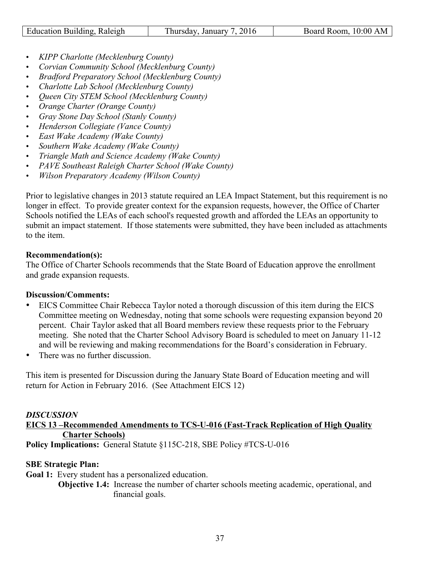| Education Building, Raleigh | 7.2016<br>January<br>. hursday. | Board Room, 10:00 AM |
|-----------------------------|---------------------------------|----------------------|

- *KIPP Charlotte (Mecklenburg County)*
- *Corvian Community School (Mecklenburg County)*
- *Bradford Preparatory School (Mecklenburg County)*
- *Charlotte Lab School (Mecklenburg County)*
- *Queen City STEM School (Mecklenburg County)*
- *Orange Charter (Orange County)*
- *Gray Stone Day School (Stanly County)*
- *Henderson Collegiate (Vance County)*
- *East Wake Academy (Wake County)*
- *Southern Wake Academy (Wake County)*
- *Triangle Math and Science Academy (Wake County)*
- *PAVE Southeast Raleigh Charter School (Wake County)*
- *Wilson Preparatory Academy (Wilson County)*

Prior to legislative changes in 2013 statute required an LEA Impact Statement, but this requirement is no longer in effect. To provide greater context for the expansion requests, however, the Office of Charter Schools notified the LEAs of each school's requested growth and afforded the LEAs an opportunity to submit an impact statement. If those statements were submitted, they have been included as attachments to the item.

## **Recommendation(s):**

The Office of Charter Schools recommends that the State Board of Education approve the enrollment and grade expansion requests.

## **Discussion/Comments:**

- EICS Committee Chair Rebecca Taylor noted a thorough discussion of this item during the EICS Committee meeting on Wednesday, noting that some schools were requesting expansion beyond 20 percent. Chair Taylor asked that all Board members review these requests prior to the February meeting. She noted that the Charter School Advisory Board is scheduled to meet on January 11-12 and will be reviewing and making recommendations for the Board's consideration in February.
- There was no further discussion.

This item is presented for Discussion during the January State Board of Education meeting and will return for Action in February 2016. (See Attachment EICS 12)

## *DISCUSSION*

**EICS 13 –Recommended Amendments to TCS-U-016 (Fast-Track Replication of High Quality Charter Schools)**

**Policy Implications:** General Statute §115C-218, SBE Policy #TCS-U-016

## **SBE Strategic Plan:**

- **Goal 1:** Every student has a personalized education.
	- **Objective 1.4:** Increase the number of charter schools meeting academic, operational, and financial goals.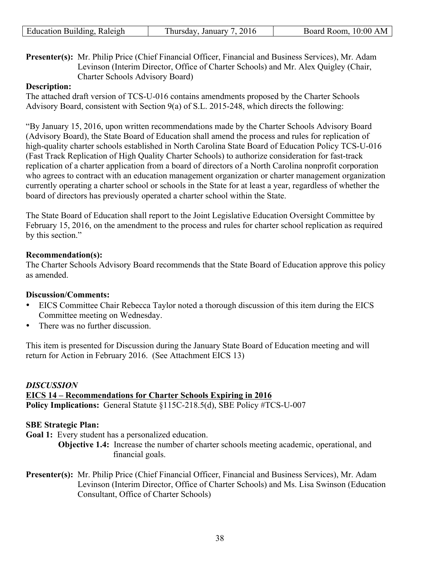| Education Building, Raleigh | Thursday, January 7, 2016 | Board Room, 10:00 AM |
|-----------------------------|---------------------------|----------------------|
|                             |                           |                      |

**Presenter(s):** Mr. Philip Price (Chief Financial Officer, Financial and Business Services), Mr. Adam Levinson (Interim Director, Office of Charter Schools) and Mr. Alex Quigley (Chair, Charter Schools Advisory Board)

## **Description:**

The attached draft version of TCS-U-016 contains amendments proposed by the Charter Schools Advisory Board, consistent with Section 9(a) of S.L. 2015-248, which directs the following:

"By January 15, 2016, upon written recommendations made by the Charter Schools Advisory Board (Advisory Board), the State Board of Education shall amend the process and rules for replication of high-quality charter schools established in North Carolina State Board of Education Policy TCS-U-016 (Fast Track Replication of High Quality Charter Schools) to authorize consideration for fast-track replication of a charter application from a board of directors of a North Carolina nonprofit corporation who agrees to contract with an education management organization or charter management organization currently operating a charter school or schools in the State for at least a year, regardless of whether the board of directors has previously operated a charter school within the State.

The State Board of Education shall report to the Joint Legislative Education Oversight Committee by February 15, 2016, on the amendment to the process and rules for charter school replication as required by this section."

## **Recommendation(s):**

The Charter Schools Advisory Board recommends that the State Board of Education approve this policy as amended.

#### **Discussion/Comments:**

- EICS Committee Chair Rebecca Taylor noted a thorough discussion of this item during the EICS Committee meeting on Wednesday.
- There was no further discussion.

This item is presented for Discussion during the January State Board of Education meeting and will return for Action in February 2016. (See Attachment EICS 13)

## *DISCUSSION*  **EICS 14 – Recommendations for Charter Schools Expiring in 2016 Policy Implications:** General Statute §115C-218.5(d), SBE Policy #TCS-U-007

#### **SBE Strategic Plan:**

- **Goal 1:** Every student has a personalized education.
	- **Objective 1.4:** Increase the number of charter schools meeting academic, operational, and financial goals.
- **Presenter(s):** Mr. Philip Price (Chief Financial Officer, Financial and Business Services), Mr. Adam Levinson (Interim Director, Office of Charter Schools) and Ms. Lisa Swinson (Education Consultant, Office of Charter Schools)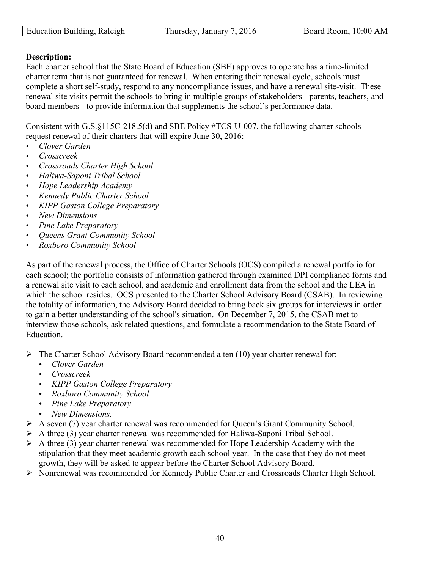| ducation.<br>$1.7331$ d 334.6<br>Kaleigh<br>Bunding | $\mathcal{D}$<br>January<br>11rc<br>ʻSdav<br><br>nu<br>$\cdot$<br>`` | 0.00<br>ΑM<br>oom<br>$   -$<br>ے د |
|-----------------------------------------------------|----------------------------------------------------------------------|------------------------------------|
|                                                     |                                                                      |                                    |

## **Description:**

Each charter school that the State Board of Education (SBE) approves to operate has a time-limited charter term that is not guaranteed for renewal. When entering their renewal cycle, schools must complete a short self-study, respond to any noncompliance issues, and have a renewal site-visit. These renewal site visits permit the schools to bring in multiple groups of stakeholders - parents, teachers, and board members - to provide information that supplements the school's performance data.

Consistent with G.S.§115C-218.5(d) and SBE Policy #TCS-U-007, the following charter schools request renewal of their charters that will expire June 30, 2016:

- *Clover Garden*
- *Crosscreek*
- *Crossroads Charter High School*
- *Haliwa-Saponi Tribal School*
- *Hope Leadership Academy*
- *Kennedy Public Charter School*
- *KIPP Gaston College Preparatory*
- *New Dimensions*
- *Pine Lake Preparatory*
- *Queens Grant Community School*
- *Roxboro Community School*

As part of the renewal process, the Office of Charter Schools (OCS) compiled a renewal portfolio for each school; the portfolio consists of information gathered through examined DPI compliance forms and a renewal site visit to each school, and academic and enrollment data from the school and the LEA in which the school resides. OCS presented to the Charter School Advisory Board (CSAB). In reviewing the totality of information, the Advisory Board decided to bring back six groups for interviews in order to gain a better understanding of the school's situation. On December 7, 2015, the CSAB met to interview those schools, ask related questions, and formulate a recommendation to the State Board of Education.

 $\triangleright$  The Charter School Advisory Board recommended a ten (10) year charter renewal for:

- *Clover Garden*
- *Crosscreek*
- *KIPP Gaston College Preparatory*
- *Roxboro Community School*
- *Pine Lake Preparatory*
- *New Dimensions.*
- $\triangleright$  A seven (7) year charter renewal was recommended for Queen's Grant Community School.
- $\triangleright$  A three (3) year charter renewal was recommended for Haliwa-Saponi Tribal School.
- $\triangleright$  A three (3) year charter renewal was recommended for Hope Leadership Academy with the stipulation that they meet academic growth each school year. In the case that they do not meet growth, they will be asked to appear before the Charter School Advisory Board.
- Ø Nonrenewal was recommended for Kennedy Public Charter and Crossroads Charter High School.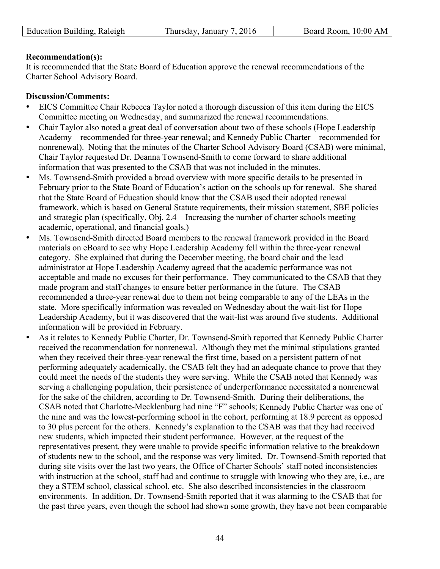## **Recommendation(s):**

It is recommended that the State Board of Education approve the renewal recommendations of the Charter School Advisory Board.

## **Discussion/Comments:**

- EICS Committee Chair Rebecca Taylor noted a thorough discussion of this item during the EICS Committee meeting on Wednesday, and summarized the renewal recommendations.
- Chair Taylor also noted a great deal of conversation about two of these schools (Hope Leadership Academy – recommended for three-year renewal; and Kennedy Public Charter – recommended for nonrenewal). Noting that the minutes of the Charter School Advisory Board (CSAB) were minimal, Chair Taylor requested Dr. Deanna Townsend-Smith to come forward to share additional information that was presented to the CSAB that was not included in the minutes.
- Ms. Townsend-Smith provided a broad overview with more specific details to be presented in February prior to the State Board of Education's action on the schools up for renewal. She shared that the State Board of Education should know that the CSAB used their adopted renewal framework, which is based on General Statute requirements, their mission statement, SBE policies and strategic plan (specifically, Obj. 2.4 – Increasing the number of charter schools meeting academic, operational, and financial goals.)
- Ms. Townsend-Smith directed Board members to the renewal framework provided in the Board materials on eBoard to see why Hope Leadership Academy fell within the three-year renewal category. She explained that during the December meeting, the board chair and the lead administrator at Hope Leadership Academy agreed that the academic performance was not acceptable and made no excuses for their performance. They communicated to the CSAB that they made program and staff changes to ensure better performance in the future. The CSAB recommended a three-year renewal due to them not being comparable to any of the LEAs in the state. More specifically information was revealed on Wednesday about the wait-list for Hope Leadership Academy, but it was discovered that the wait-list was around five students. Additional information will be provided in February.
- As it relates to Kennedy Public Charter, Dr. Townsend-Smith reported that Kennedy Public Charter received the recommendation for nonrenewal. Although they met the minimal stipulations granted when they received their three-year renewal the first time, based on a persistent pattern of not performing adequately academically, the CSAB felt they had an adequate chance to prove that they could meet the needs of the students they were serving. While the CSAB noted that Kennedy was serving a challenging population, their persistence of underperformance necessitated a nonrenewal for the sake of the children, according to Dr. Townsend-Smith. During their deliberations, the CSAB noted that Charlotte-Mecklenburg had nine "F" schools; Kennedy Public Charter was one of the nine and was the lowest-performing school in the cohort, performing at 18.9 percent as opposed to 30 plus percent for the others. Kennedy's explanation to the CSAB was that they had received new students, which impacted their student performance. However, at the request of the representatives present, they were unable to provide specific information relative to the breakdown of students new to the school, and the response was very limited. Dr. Townsend-Smith reported that during site visits over the last two years, the Office of Charter Schools' staff noted inconsistencies with instruction at the school, staff had and continue to struggle with knowing who they are, i.e., are they a STEM school, classical school, etc. She also described inconsistencies in the classroom environments. In addition, Dr. Townsend-Smith reported that it was alarming to the CSAB that for the past three years, even though the school had shown some growth, they have not been comparable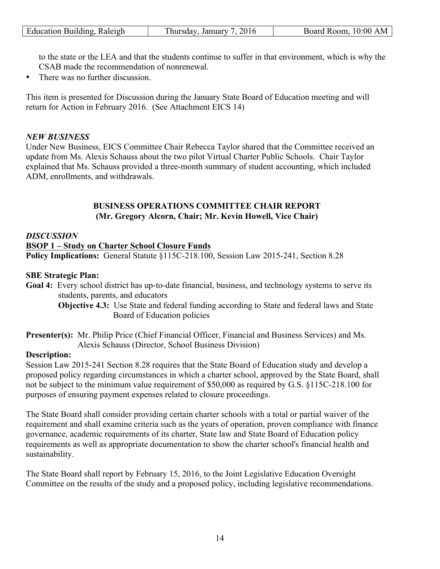| Raleigh<br>ducation <b>!</b><br>Building. | January<br>hursdav | 10:00<br>Room.<br>AM.<br>Board |
|-------------------------------------------|--------------------|--------------------------------|

to the state or the LEA and that the students continue to suffer in that environment, which is why the CSAB made the recommendation of nonrenewal.

• There was no further discussion.

This item is presented for Discussion during the January State Board of Education meeting and will return for Action in February 2016. (See Attachment EICS 14)

## *NEW BUSINESS*

Under New Business, EICS Committee Chair Rebecca Taylor shared that the Committee received an update from Ms. Alexis Schauss about the two pilot Virtual Charter Public Schools. Chair Taylor explained that Ms. Schauss provided a three-month summary of student accounting, which included ADM, enrollments, and withdrawals.

## **BUSINESS OPERATIONS COMMITTEE CHAIR REPORT (Mr. Gregory Alcorn, Chair; Mr. Kevin Howell, Vice Chair)**

## *DISCUSSION*

#### **BSOP 1 – Study on Charter School Closure Funds**

**Policy Implications:** General Statute §115C-218.100, Session Law 2015-241, Section 8.28

#### **SBE Strategic Plan:**

**Goal 4:** Every school district has up-to-date financial, business, and technology systems to serve its students, parents, and educators

**Objective 4.3:** Use State and federal funding according to State and federal laws and State Board of Education policies

**Presenter(s):** Mr. Philip Price (Chief Financial Officer, Financial and Business Services) and Ms. Alexis Schauss (Director, School Business Division)

#### **Description:**

Session Law 2015-241 Section 8.28 requires that the State Board of Education study and develop a proposed policy regarding circumstances in which a charter school, approved by the State Board, shall not be subject to the minimum value requirement of \$50,000 as required by G.S. §115C-218.100 for purposes of ensuring payment expenses related to closure proceedings.

The State Board shall consider providing certain charter schools with a total or partial waiver of the requirement and shall examine criteria such as the years of operation, proven compliance with finance governance, academic requirements of its charter, State law and State Board of Education policy requirements as well as appropriate documentation to show the charter school's financial health and sustainability.

The State Board shall report by February 15, 2016, to the Joint Legislative Education Oversight Committee on the results of the study and a proposed policy, including legislative recommendations.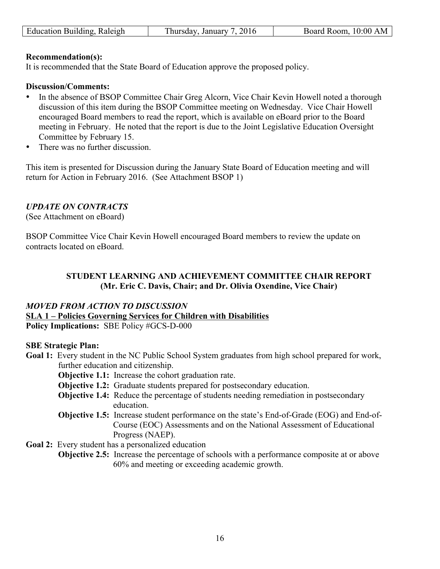| Education Building, Raleigh | Thursday, January 7, 2016 | Board Room, 10:00 AM |
|-----------------------------|---------------------------|----------------------|
|                             |                           |                      |

#### **Recommendation(s):**

It is recommended that the State Board of Education approve the proposed policy.

#### **Discussion/Comments:**

- In the absence of BSOP Committee Chair Greg Alcorn, Vice Chair Kevin Howell noted a thorough discussion of this item during the BSOP Committee meeting on Wednesday. Vice Chair Howell encouraged Board members to read the report, which is available on eBoard prior to the Board meeting in February. He noted that the report is due to the Joint Legislative Education Oversight Committee by February 15.
- There was no further discussion.

This item is presented for Discussion during the January State Board of Education meeting and will return for Action in February 2016. (See Attachment BSOP 1)

## *UPDATE ON CONTRACTS*

(See Attachment on eBoard)

BSOP Committee Vice Chair Kevin Howell encouraged Board members to review the update on contracts located on eBoard.

#### **STUDENT LEARNING AND ACHIEVEMENT COMMITTEE CHAIR REPORT (Mr. Eric C. Davis, Chair; and Dr. Olivia Oxendine, Vice Chair)**

#### *MOVED FROM ACTION TO DISCUSSION*  **SLA 1 – Policies Governing Services for Children with Disabilities Policy Implications:** SBE Policy #GCS-D-000

#### **SBE Strategic Plan:**

- **Goal 1:** Every student in the NC Public School System graduates from high school prepared for work, further education and citizenship.
	- **Objective 1.1:** Increase the cohort graduation rate.
	- **Objective 1.2:** Graduate students prepared for postsecondary education.
	- **Objective 1.4:** Reduce the percentage of students needing remediation in postsecondary education.
	- **Objective 1.5:** Increase student performance on the state's End-of-Grade (EOG) and End-of-Course (EOC) Assessments and on the National Assessment of Educational Progress (NAEP).
- Goal 2: Every student has a personalized education
	- **Objective 2.5:** Increase the percentage of schools with a performance composite at or above 60% and meeting or exceeding academic growth.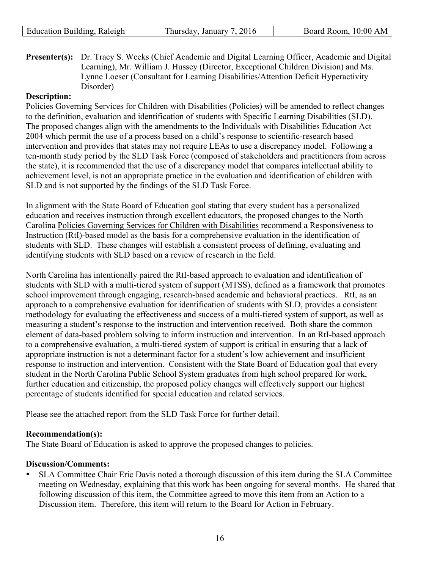| Education Building, Raleigh | Thursday, January 7, 2016 | Board Room, 10:00 AM |
|-----------------------------|---------------------------|----------------------|
|                             |                           |                      |

**Presenter(s):** Dr. Tracy S. Weeks (Chief Academic and Digital Learning Officer, Academic and Digital Learning), Mr. William J. Hussey (Director, Exceptional Children Division) and Ms. Lynne Loeser (Consultant for Learning Disabilities/Attention Deficit Hyperactivity Disorder)

## **Description:**

Policies Governing Services for Children with Disabilities (Policies) will be amended to reflect changes to the definition, evaluation and identification of students with Specific Learning Disabilities (SLD). The proposed changes align with the amendments to the Individuals with Disabilities Education Act 2004 which permit the use of a process based on a child's response to scientific-research based intervention and provides that states may not require LEAs to use a discrepancy model. Following a ten-month study period by the SLD Task Force (composed of stakeholders and practitioners from across the state), it is recommended that the use of a discrepancy model that compares intellectual ability to achievement level, is not an appropriate practice in the evaluation and identification of children with SLD and is not supported by the findings of the SLD Task Force.

In alignment with the State Board of Education goal stating that every student has a personalized education and receives instruction through excellent educators, the proposed changes to the North Carolina Policies Governing Services for Children with Disabilities recommend a Responsiveness to Instruction (RtI)-based model as the basis for a comprehensive evaluation in the identification of students with SLD. These changes will establish a consistent process of defining, evaluating and identifying students with SLD based on a review of research in the field.

North Carolina has intentionally paired the RtI-based approach to evaluation and identification of students with SLD with a multi-tiered system of support (MTSS), defined as a framework that promotes school improvement through engaging, research-based academic and behavioral practices. RtI, as an approach to a comprehensive evaluation for identification of students with SLD, provides a consistent methodology for evaluating the effectiveness and success of a multi-tiered system of support, as well as measuring a student's response to the instruction and intervention received. Both share the common element of data-based problem solving to inform instruction and intervention. In an RtI-based approach to a comprehensive evaluation, a multi-tiered system of support is critical in ensuring that a lack of appropriate instruction is not a determinant factor for a student's low achievement and insufficient response to instruction and intervention. Consistent with the State Board of Education goal that every student in the North Carolina Public School System graduates from high school prepared for work, further education and citizenship, the proposed policy changes will effectively support our highest percentage of students identified for special education and related services.

Please see the attached report from the SLD Task Force for further detail.

#### **Recommendation(s):**

The State Board of Education is asked to approve the proposed changes to policies.

#### **Discussion/Comments:**

• SLA Committee Chair Eric Davis noted a thorough discussion of this item during the SLA Committee meeting on Wednesday, explaining that this work has been ongoing for several months. He shared that following discussion of this item, the Committee agreed to move this item from an Action to a Discussion item. Therefore, this item will return to the Board for Action in February.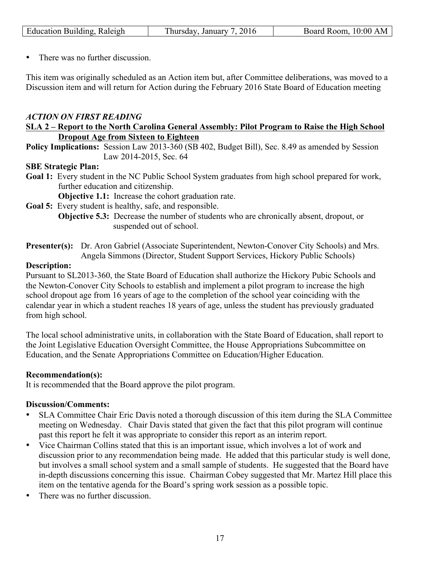| Raleigh<br>ducation.<br>3111lding. | 201<br>January<br>hursdav<br>$\cdot$ | 0:00<br>k oom<br>ΑM<br>ĸ<br>ми |
|------------------------------------|--------------------------------------|--------------------------------|
|                                    | -                                    |                                |

• There was no further discussion.

This item was originally scheduled as an Action item but, after Committee deliberations, was moved to a Discussion item and will return for Action during the February 2016 State Board of Education meeting

## *ACTION ON FIRST READING*

#### **SLA 2 – Report to the North Carolina General Assembly: Pilot Program to Raise the High School Dropout Age from Sixteen to Eighteen**

**Policy Implications:** Session Law 2013-360 (SB 402, Budget Bill), Sec. 8.49 as amended by Session Law 2014-2015, Sec. 64

#### **SBE Strategic Plan:**

**Goal 1:** Every student in the NC Public School System graduates from high school prepared for work, further education and citizenship.

**Objective 1.1:** Increase the cohort graduation rate.

- **Goal 5:** Every student is healthy, safe, and responsible.
	- **Objective 5.3:** Decrease the number of students who are chronically absent, dropout, or suspended out of school.
- **Presenter(s):** Dr. Aron Gabriel (Associate Superintendent, Newton-Conover City Schools) and Mrs. Angela Simmons (Director, Student Support Services, Hickory Public Schools)

#### **Description:**

Pursuant to SL2013-360, the State Board of Education shall authorize the Hickory Pubic Schools and the Newton-Conover City Schools to establish and implement a pilot program to increase the high school dropout age from 16 years of age to the completion of the school year coinciding with the calendar year in which a student reaches 18 years of age, unless the student has previously graduated from high school.

The local school administrative units, in collaboration with the State Board of Education, shall report to the Joint Legislative Education Oversight Committee, the House Appropriations Subcommittee on Education, and the Senate Appropriations Committee on Education/Higher Education.

#### **Recommendation(s):**

It is recommended that the Board approve the pilot program.

#### **Discussion/Comments:**

- SLA Committee Chair Eric Davis noted a thorough discussion of this item during the SLA Committee meeting on Wednesday. Chair Davis stated that given the fact that this pilot program will continue past this report he felt it was appropriate to consider this report as an interim report.
- Vice Chairman Collins stated that this is an important issue, which involves a lot of work and discussion prior to any recommendation being made. He added that this particular study is well done, but involves a small school system and a small sample of students. He suggested that the Board have in-depth discussions concerning this issue. Chairman Cobey suggested that Mr. Martez Hill place this item on the tentative agenda for the Board's spring work session as a possible topic.
- There was no further discussion.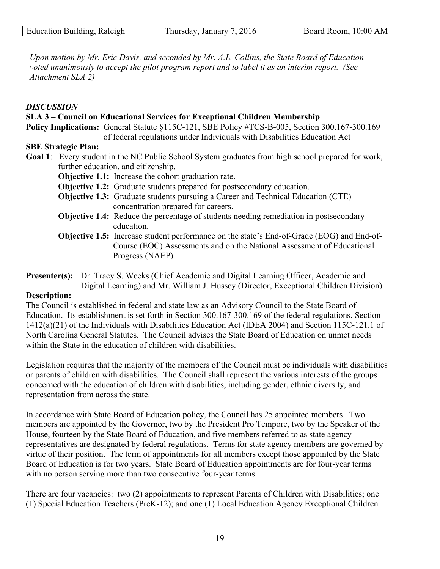*Upon motion by Mr. Eric Davis, and seconded by Mr. A.L. Collins, the State Board of Education voted unanimously to accept the pilot program report and to label it as an interim report. (See Attachment SLA 2)* 

## *DISCUSSION*

## **SLA 3 – Council on Educational Services for Exceptional Children Membership**

**Policy Implications:** General Statute §115C-121, SBE Policy #TCS-B-005, Section 300.167-300.169 of federal regulations under Individuals with Disabilities Education Act

## **SBE Strategic Plan:**

**Goal 1**: Every student in the NC Public School System graduates from high school prepared for work, further education, and citizenship.

**Objective 1.1:** Increase the cohort graduation rate.

- **Objective 1.2:** Graduate students prepared for postsecondary education.
- **Objective 1.3:** Graduate students pursuing a Career and Technical Education (CTE) concentration prepared for careers.
- **Objective 1.4:** Reduce the percentage of students needing remediation in postsecondary education.
- **Objective 1.5:** Increase student performance on the state's End-of-Grade (EOG) and End-of-Course (EOC) Assessments and on the National Assessment of Educational Progress (NAEP).
- **Presenter(s):** Dr. Tracy S. Weeks (Chief Academic and Digital Learning Officer, Academic and Digital Learning) and Mr. William J. Hussey (Director, Exceptional Children Division)

## **Description:**

The Council is established in federal and state law as an Advisory Council to the State Board of Education. Its establishment is set forth in Section 300.167-300.169 of the federal regulations, Section 1412(a)(21) of the Individuals with Disabilities Education Act (IDEA 2004) and Section 115C-121.1 of North Carolina General Statutes. The Council advises the State Board of Education on unmet needs within the State in the education of children with disabilities.

Legislation requires that the majority of the members of the Council must be individuals with disabilities or parents of children with disabilities. The Council shall represent the various interests of the groups concerned with the education of children with disabilities, including gender, ethnic diversity, and representation from across the state.

In accordance with State Board of Education policy, the Council has 25 appointed members. Two members are appointed by the Governor, two by the President Pro Tempore, two by the Speaker of the House, fourteen by the State Board of Education, and five members referred to as state agency representatives are designated by federal regulations. Terms for state agency members are governed by virtue of their position. The term of appointments for all members except those appointed by the State Board of Education is for two years. State Board of Education appointments are for four-year terms with no person serving more than two consecutive four-year terms.

There are four vacancies: two (2) appointments to represent Parents of Children with Disabilities; one (1) Special Education Teachers (PreK-12); and one (1) Local Education Agency Exceptional Children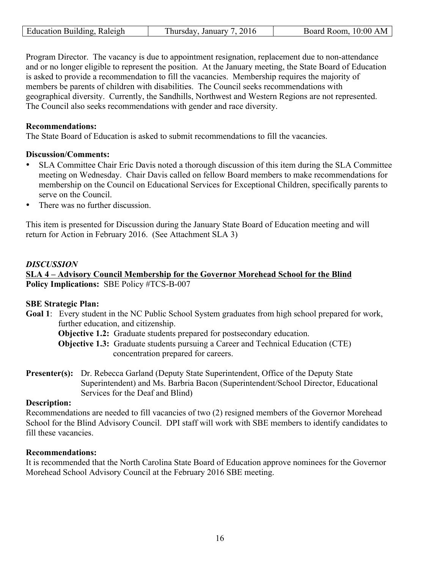| Education<br>Building<br>Raleigh | $\sim$<br>Januar<br>, hursdav<br>٠. . | 00<br>. N/<br>$\cdots$<br>R <sub>00</sub> m<br>$H\Omega^{n}$<br>ам. |
|----------------------------------|---------------------------------------|---------------------------------------------------------------------|

Program Director. The vacancy is due to appointment resignation, replacement due to non-attendance and or no longer eligible to represent the position. At the January meeting, the State Board of Education is asked to provide a recommendation to fill the vacancies. Membership requires the majority of members be parents of children with disabilities. The Council seeks recommendations with geographical diversity. Currently, the Sandhills, Northwest and Western Regions are not represented. The Council also seeks recommendations with gender and race diversity.

#### **Recommendations:**

The State Board of Education is asked to submit recommendations to fill the vacancies.

## **Discussion/Comments:**

- SLA Committee Chair Eric Davis noted a thorough discussion of this item during the SLA Committee meeting on Wednesday. Chair Davis called on fellow Board members to make recommendations for membership on the Council on Educational Services for Exceptional Children, specifically parents to serve on the Council.
- There was no further discussion.

This item is presented for Discussion during the January State Board of Education meeting and will return for Action in February 2016. (See Attachment SLA 3)

## *DISCUSSION*

## **SLA 4 – Advisory Council Membership for the Governor Morehead School for the Blind Policy Implications:** SBE Policy #TCS-B-007

## **SBE Strategic Plan:**

**Goal 1**: Every student in the NC Public School System graduates from high school prepared for work, further education, and citizenship.

**Objective 1.2:** Graduate students prepared for postsecondary education.

- **Objective 1.3:** Graduate students pursuing a Career and Technical Education (CTE) concentration prepared for careers.
- **Presenter(s):** Dr. Rebecca Garland (Deputy State Superintendent, Office of the Deputy State Superintendent) and Ms. Barbria Bacon (Superintendent/School Director, Educational Services for the Deaf and Blind)

## **Description:**

Recommendations are needed to fill vacancies of two (2) resigned members of the Governor Morehead School for the Blind Advisory Council. DPI staff will work with SBE members to identify candidates to fill these vacancies.

#### **Recommendations:**

It is recommended that the North Carolina State Board of Education approve nominees for the Governor Morehead School Advisory Council at the February 2016 SBE meeting.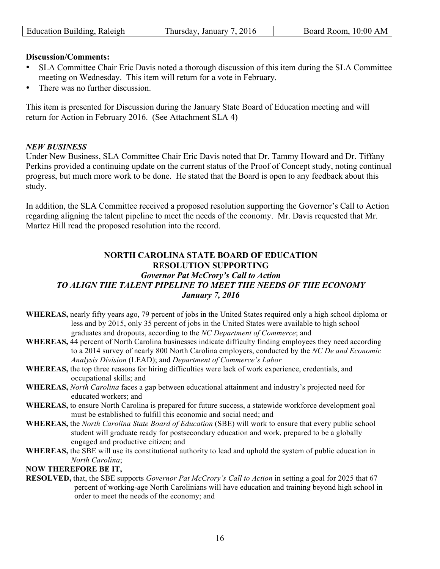|  | Education Building, Raleigh | Thursday, January 7, 2016 | Board Room, 10:00 AM |
|--|-----------------------------|---------------------------|----------------------|
|--|-----------------------------|---------------------------|----------------------|

#### **Discussion/Comments:**

- SLA Committee Chair Eric Davis noted a thorough discussion of this item during the SLA Committee meeting on Wednesday. This item will return for a vote in February.
- There was no further discussion

This item is presented for Discussion during the January State Board of Education meeting and will return for Action in February 2016. (See Attachment SLA 4)

#### *NEW BUSINESS*

Under New Business, SLA Committee Chair Eric Davis noted that Dr. Tammy Howard and Dr. Tiffany Perkins provided a continuing update on the current status of the Proof of Concept study, noting continual progress, but much more work to be done. He stated that the Board is open to any feedback about this study.

In addition, the SLA Committee received a proposed resolution supporting the Governor's Call to Action regarding aligning the talent pipeline to meet the needs of the economy. Mr. Davis requested that Mr. Martez Hill read the proposed resolution into the record.

## **NORTH CAROLINA STATE BOARD OF EDUCATION RESOLUTION SUPPORTING**  *Governor Pat McCrory's Call to Action TO ALIGN THE TALENT PIPELINE TO MEET THE NEEDS OF THE ECONOMY January 7, 2016*

- **WHEREAS,** nearly fifty years ago, 79 percent of jobs in the United States required only a high school diploma or less and by 2015, only 35 percent of jobs in the United States were available to high school graduates and dropouts, according to the *NC Department of Commerce*; and
- **WHEREAS,** 44 percent of North Carolina businesses indicate difficulty finding employees they need according to a 2014 survey of nearly 800 North Carolina employers, conducted by the *NC De and Economic Analysis Division* (LEAD); and *Department of Commerce's Labor*
- **WHEREAS,** the top three reasons for hiring difficulties were lack of work experience, credentials, and occupational skills; and
- **WHEREAS,** *North Carolina* faces a gap between educational attainment and industry's projected need for educated workers; and
- **WHEREAS,** to ensure North Carolina is prepared for future success, a statewide workforce development goal must be established to fulfill this economic and social need; and
- **WHEREAS,** the *North Carolina State Board of Education* (SBE) will work to ensure that every public school student will graduate ready for postsecondary education and work, prepared to be a globally engaged and productive citizen; and
- **WHEREAS,** the SBE will use its constitutional authority to lead and uphold the system of public education in *North Carolina*;

#### **NOW THEREFORE BE IT,**

**RESOLVED,** that, the SBE supports *Governor Pat McCrory's Call to Action* in setting a goal for 2025 that 67 percent of working-age North Carolinians will have education and training beyond high school in order to meet the needs of the economy; and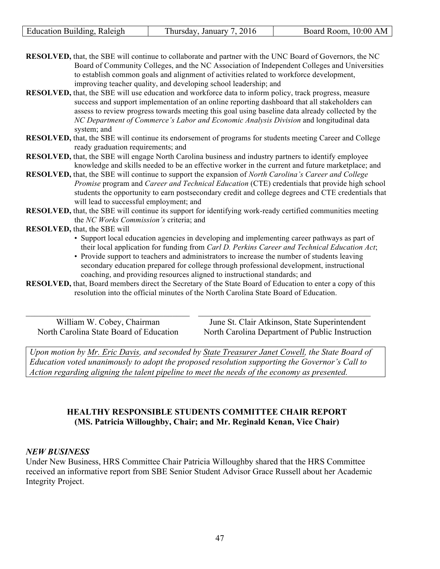| Building<br>Raleigh<br>Education | 2016<br>January<br>hureday<br>мю | 10:00<br>AM<br>്ററന്ന<br>$   -$<br>K. |
|----------------------------------|----------------------------------|---------------------------------------|

**RESOLVED,** that, the SBE will continue to collaborate and partner with the UNC Board of Governors, the NC Board of Community Colleges, and the NC Association of Independent Colleges and Universities to establish common goals and alignment of activities related to workforce development, improving teacher quality, and developing school leadership; and

- **RESOLVED,** that, the SBE will use education and workforce data to inform policy, track progress, measure success and support implementation of an online reporting dashboard that all stakeholders can assess to review progress towards meeting this goal using baseline data already collected by the *NC Department of Commerce's Labor and Economic Analysis Division* and longitudinal data system; and
- **RESOLVED,** that, the SBE will continue its endorsement of programs for students meeting Career and College ready graduation requirements; and
- **RESOLVED,** that, the SBE will engage North Carolina business and industry partners to identify employee knowledge and skills needed to be an effective worker in the current and future marketplace; and
- **RESOLVED,** that, the SBE will continue to support the expansion of *North Carolina's Career and College Promise* program and *Career and Technical Education* (CTE) credentials that provide high school students the opportunity to earn postsecondary credit and college degrees and CTE credentials that will lead to successful employment; and
- **RESOLVED,** that, the SBE will continue its support for identifying work-ready certified communities meeting the *NC Works Commission's* criteria; and

#### **RESOLVED,** that, the SBE will

- Support local education agencies in developing and implementing career pathways as part of their local application for funding from *Carl D. Perkins Career and Technical Education Act*;
- Provide support to teachers and administrators to increase the number of students leaving secondary education prepared for college through professional development, instructional coaching, and providing resources aligned to instructional standards; and

**RESOLVED,** that, Board members direct the Secretary of the State Board of Education to enter a copy of this resolution into the official minutes of the North Carolina State Board of Education.

 $\_$  , and the set of the set of the set of the set of the set of the set of the set of the set of the set of the set of the set of the set of the set of the set of the set of the set of the set of the set of the set of th

William W. Cobey, Chairman North Carolina State Board of Education

June St. Clair Atkinson, State Superintendent North Carolina Department of Public Instruction

*Upon motion by Mr. Eric Davis, and seconded by State Treasurer Janet Cowell, the State Board of Education voted unanimously to adopt the proposed resolution supporting the Governor's Call to Action regarding aligning the talent pipeline to meet the needs of the economy as presented.* 

## **HEALTHY RESPONSIBLE STUDENTS COMMITTEE CHAIR REPORT (MS. Patricia Willoughby, Chair; and Mr. Reginald Kenan, Vice Chair)**

#### *NEW BUSINESS*

Under New Business, HRS Committee Chair Patricia Willoughby shared that the HRS Committee received an informative report from SBE Senior Student Advisor Grace Russell about her Academic Integrity Project.